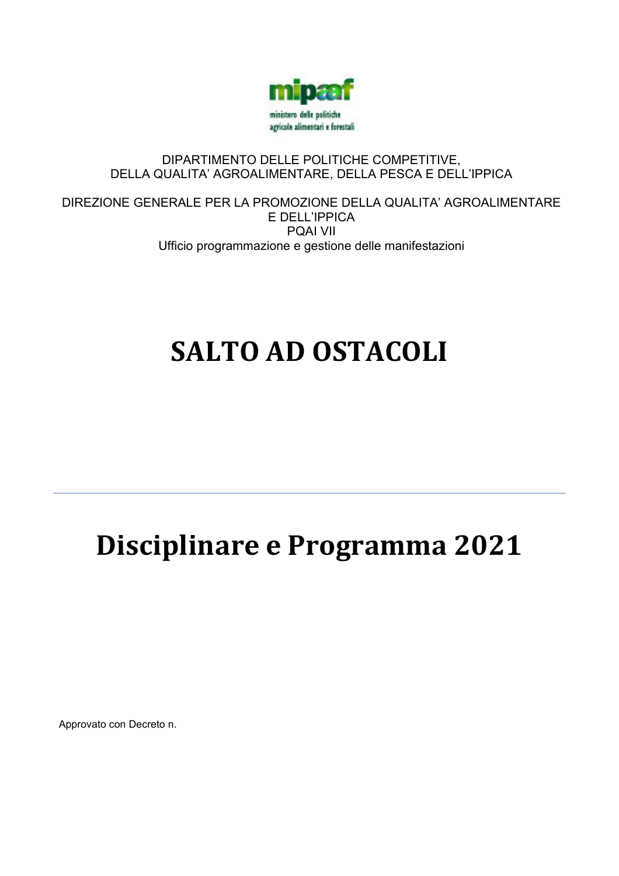

# DIPARTIMENTO DELLE POLITICHE COMPETITIVE, DELLA QUALITA' AGROALIMENTARE, DELLA PESCA E DELL'IPPICA

DIREZIONE GENERALE PER LA PROMOZIONE DELLA QUALITA' AGROALIMENTARE E DELL'IPPICA PQAI VII Ufficio programmazione e gestione delle manifestazioni

# **SALTO AD OSTACOLI**

# **Disciplinare e Programma 2021**

Approvato con Decreto n.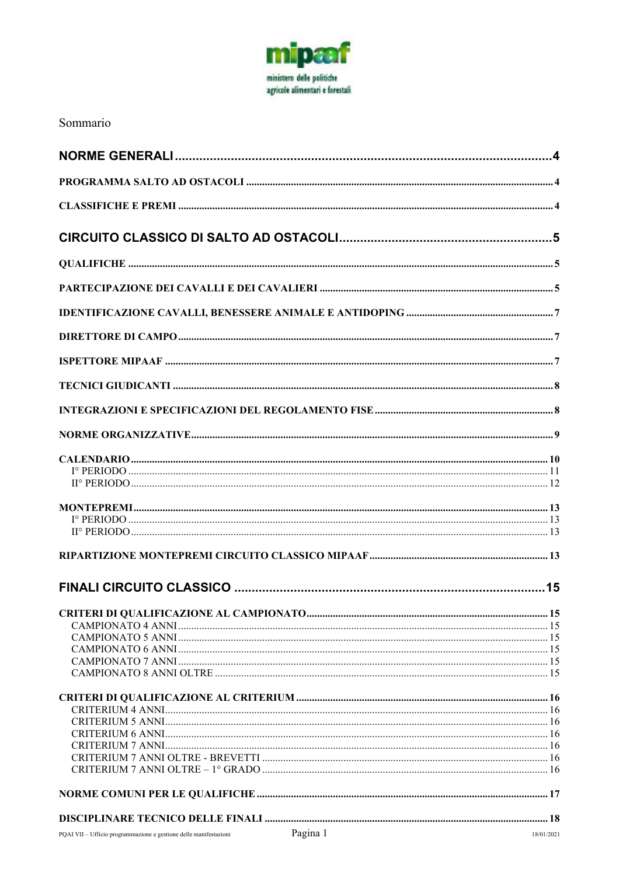

# Sommario

| Pagina 1<br>PQAI VII - Ufficio programmazione e gestione delle manifestazioni | 18/01/2021 |
|-------------------------------------------------------------------------------|------------|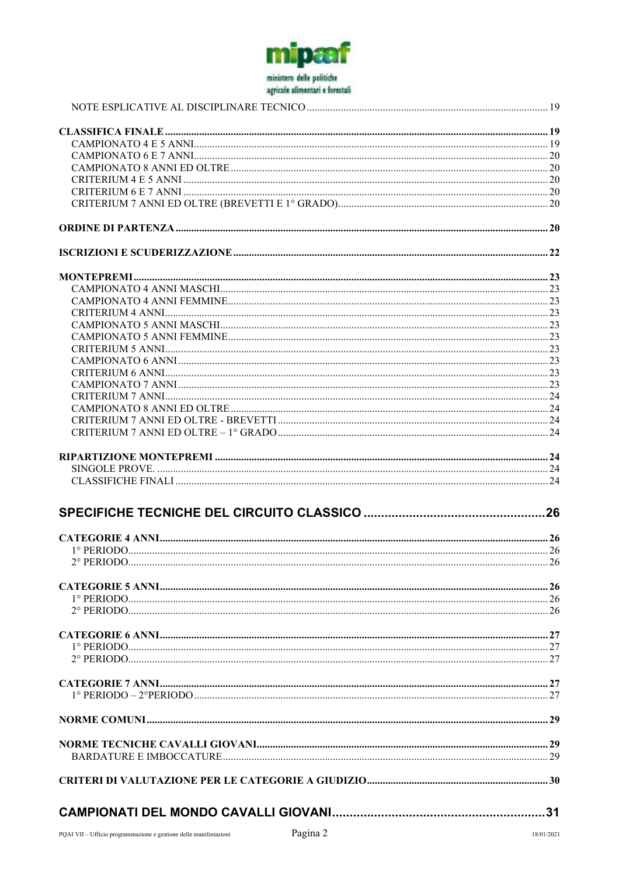

| $2°$ PERIODO |  |
|--------------|--|
|              |  |
|              |  |
|              |  |
|              |  |
|              |  |
|              |  |
|              |  |
|              |  |
|              |  |
|              |  |
|              |  |
|              |  |
|              |  |
|              |  |
|              |  |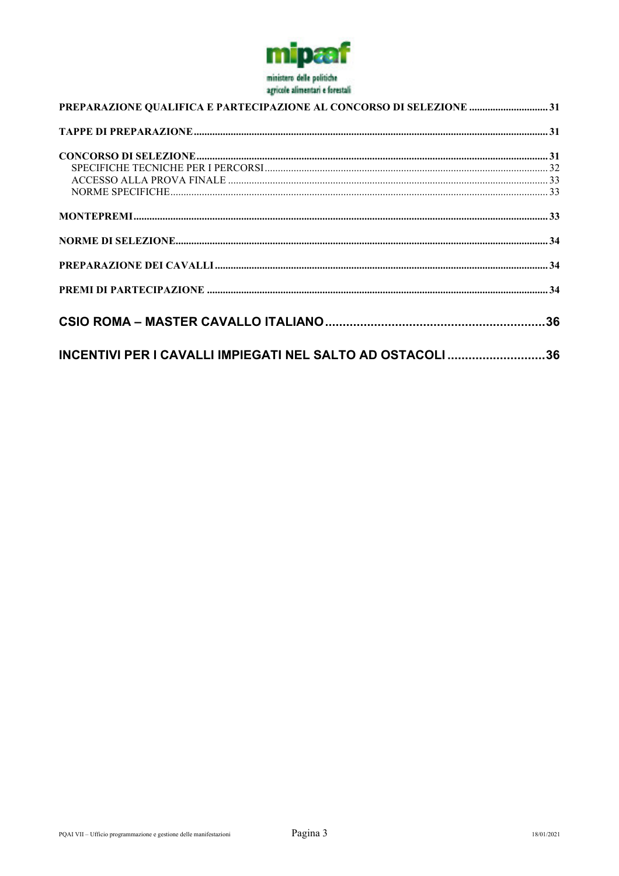

| PREPARAZIONE QUALIFICA E PARTECIPAZIONE AL CONCORSO DI SELEZIONE 31 |  |  |
|---------------------------------------------------------------------|--|--|
|                                                                     |  |  |
|                                                                     |  |  |
|                                                                     |  |  |
|                                                                     |  |  |
|                                                                     |  |  |
|                                                                     |  |  |
|                                                                     |  |  |
|                                                                     |  |  |
|                                                                     |  |  |
|                                                                     |  |  |
| INCENTIVI PER I CAVALLI IMPIEGATI NEL SALTO AD OSTACOLI 36          |  |  |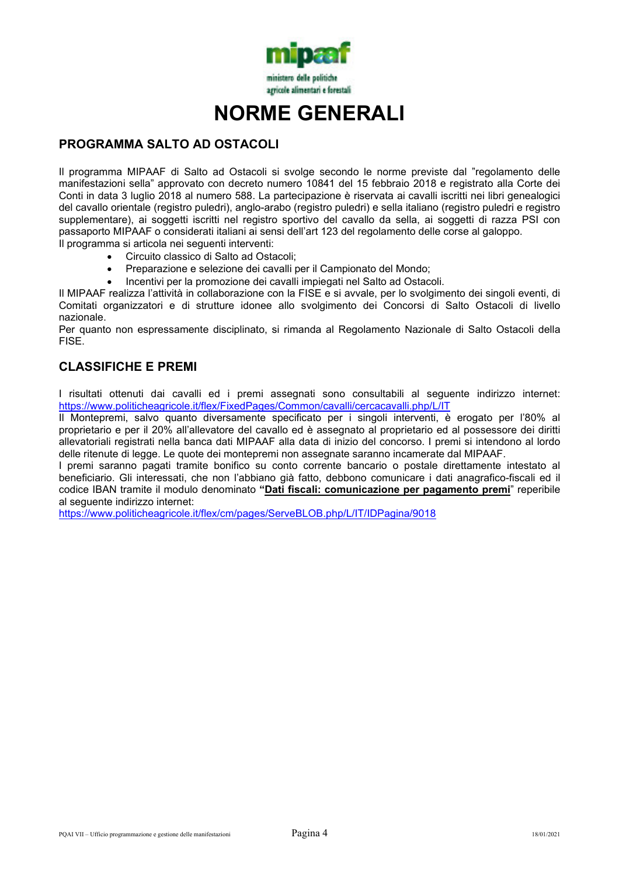

# **NORME GENERALI**

# **PROGRAMMA SALTO AD OSTACOLI**

Il programma MIPAAF di Salto ad Ostacoli si svolge secondo le norme previste dal "regolamento delle manifestazioni sella" approvato con decreto numero 10841 del 15 febbraio 2018 e registrato alla Corte dei Conti in data 3 luglio 2018 al numero 588. La partecipazione è riservata ai cavalli iscritti nei libri genealogici del cavallo orientale (registro puledri), anglo-arabo (registro puledri) e sella italiano (registro puledri e registro supplementare), ai soggetti iscritti nel registro sportivo del cavallo da sella, ai soggetti di razza PSI con passaporto MIPAAF o considerati italiani ai sensi dell'art 123 del regolamento delle corse al galoppo. Il programma si articola nei seguenti interventi:

- Circuito classico di Salto ad Ostacoli;
- Preparazione e selezione dei cavalli per il Campionato del Mondo;
- Incentivi per la promozione dei cavalli impiegati nel Salto ad Ostacoli.

Il MIPAAF realizza l'attività in collaborazione con la FISE e si avvale, per lo svolgimento dei singoli eventi, di Comitati organizzatori e di strutture idonee allo svolgimento dei Concorsi di Salto Ostacoli di livello nazionale.

Per quanto non espressamente disciplinato, si rimanda al Regolamento Nazionale di Salto Ostacoli della FISE.

# **CLASSIFICHE E PREMI**

I risultati ottenuti dai cavalli ed i premi assegnati sono consultabili al seguente indirizzo internet: https://www.politicheagricole.it/flex/FixedPages/Common/cavalli/cercacavalli.php/L/IT

Il Montepremi, salvo quanto diversamente specificato per i singoli interventi, è erogato per l'80% al proprietario e per il 20% all'allevatore del cavallo ed è assegnato al proprietario ed al possessore dei diritti allevatoriali registrati nella banca dati MIPAAF alla data di inizio del concorso. I premi si intendono al lordo delle ritenute di legge. Le quote dei montepremi non assegnate saranno incamerate dal MIPAAF.

I premi saranno pagati tramite bonifico su conto corrente bancario o postale direttamente intestato al beneficiario. Gli interessati, che non l'abbiano già fatto, debbono comunicare i dati anagrafico-fiscali ed il codice IBAN tramite il modulo denominato **"Dati fiscali: comunicazione per pagamento premi**" reperibile al seguente indirizzo internet:

https://www.politicheagricole.it/flex/cm/pages/ServeBLOB.php/L/IT/IDPagina/9018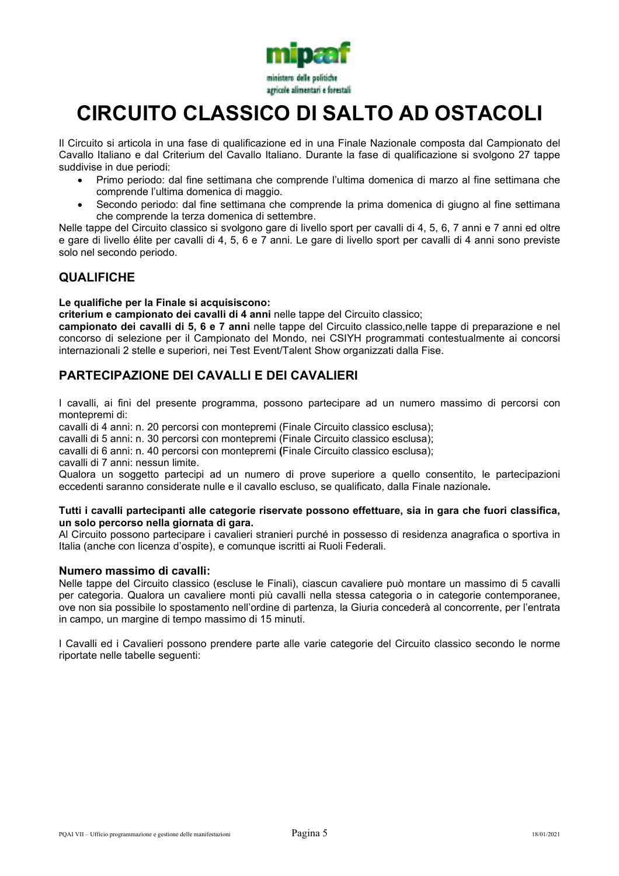

# **CIRCUITO CLASSICO DI SALTO AD OSTACOLI**

Il Circuito si articola in una fase di qualificazione ed in una Finale Nazionale composta dal Campionato del Cavallo Italiano e dal Criterium del Cavallo Italiano. Durante la fase di qualificazione si svolgono 27 tappe suddivise in due periodi:

- Primo periodo: dal fine settimana che comprende l'ultima domenica di marzo al fine settimana che comprende l'ultima domenica di maggio.
- Secondo periodo: dal fine settimana che comprende la prima domenica di giugno al fine settimana che comprende la terza domenica di settembre.

Nelle tappe del Circuito classico si svolgono gare di livello sport per cavalli di 4, 5, 6, 7 anni e 7 anni ed oltre e gare di livello élite per cavalli di 4, 5, 6 e 7 anni. Le gare di livello sport per cavalli di 4 anni sono previste solo nel secondo periodo.

# **QUALIFICHE**

#### **Le qualifiche per la Finale si acquisiscono:**

**criterium e campionato dei cavalli di 4 anni** nelle tappe del Circuito classico;

**campionato dei cavalli di 5, 6 e 7 anni** nelle tappe del Circuito classico,nelle tappe di preparazione e nel concorso di selezione per il Campionato del Mondo, nei CSIYH programmati contestualmente ai concorsi internazionali 2 stelle e superiori, nei Test Event/Talent Show organizzati dalla Fise.

# **PARTECIPAZIONE DEI CAVALLI E DEI CAVALIERI**

I cavalli, ai fini del presente programma, possono partecipare ad un numero massimo di percorsi con montepremi di:

cavalli di 4 anni: n. 20 percorsi con montepremi (Finale Circuito classico esclusa);

cavalli di 5 anni: n. 30 percorsi con montepremi (Finale Circuito classico esclusa);

cavalli di 6 anni: n. 40 percorsi con montepremi **(**Finale Circuito classico esclusa);

cavalli di 7 anni: nessun limite.

Qualora un soggetto partecipi ad un numero di prove superiore a quello consentito, le partecipazioni eccedenti saranno considerate nulle e il cavallo escluso, se qualificato, dalla Finale nazionale**.**

#### **Tutti i cavalli partecipanti alle categorie riservate possono effettuare, sia in gara che fuori classifica, un solo percorso nella giornata di gara.**

Al Circuito possono partecipare i cavalieri stranieri purché in possesso di residenza anagrafica o sportiva in Italia (anche con licenza d'ospite), e comunque iscritti ai Ruoli Federali.

#### **Numero massimo di cavalli:**

Nelle tappe del Circuito classico (escluse le Finali), ciascun cavaliere può montare un massimo di 5 cavalli per categoria. Qualora un cavaliere monti più cavalli nella stessa categoria o in categorie contemporanee, ove non sia possibile lo spostamento nell'ordine di partenza, la Giuria concederà al concorrente, per l'entrata in campo, un margine di tempo massimo di 15 minuti.

I Cavalli ed i Cavalieri possono prendere parte alle varie categorie del Circuito classico secondo le norme riportate nelle tabelle seguenti: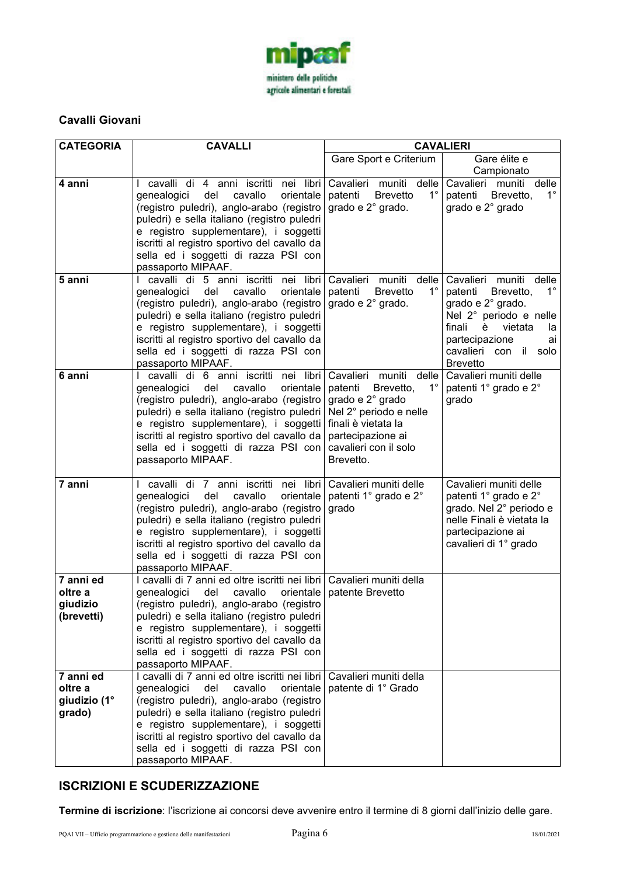

# **Cavalli Giovani**

| <b>CATEGORIA</b>                               | <b>CAVALLI</b>                                                                                                                                                                                                                                                                                                                                                    | <b>CAVALIERI</b>                                                                                                                                                          |                                                                                                                                                                                                                  |  |  |
|------------------------------------------------|-------------------------------------------------------------------------------------------------------------------------------------------------------------------------------------------------------------------------------------------------------------------------------------------------------------------------------------------------------------------|---------------------------------------------------------------------------------------------------------------------------------------------------------------------------|------------------------------------------------------------------------------------------------------------------------------------------------------------------------------------------------------------------|--|--|
|                                                |                                                                                                                                                                                                                                                                                                                                                                   | Gare Sport e Criterium                                                                                                                                                    | Gare élite e                                                                                                                                                                                                     |  |  |
|                                                |                                                                                                                                                                                                                                                                                                                                                                   |                                                                                                                                                                           | Campionato                                                                                                                                                                                                       |  |  |
| 4 anni                                         | I cavalli di 4 anni iscritti nei libri<br>cavallo<br>genealogici<br>del<br>orientale<br>(registro puledri), anglo-arabo (registro)<br>puledri) e sella italiano (registro puledri<br>e registro supplementare), i soggetti<br>iscritti al registro sportivo del cavallo da<br>sella ed i soggetti di razza PSI con<br>passaporto MIPAAF.                          | Cavalieri muniti delle<br>$1^{\circ}$<br><b>Brevetto</b><br>patenti<br>grado e 2° grado.                                                                                  | Cavalieri muniti<br>delle<br>$1^{\circ}$<br>patenti Brevetto,<br>grado e 2° grado                                                                                                                                |  |  |
| 5 anni                                         | I cavalli di 5 anni iscritti nei libri<br>del cavallo<br>orientale<br>genealogici<br>(registro puledri), anglo-arabo (registro<br>puledri) e sella italiano (registro puledri<br>e registro supplementare), i soggetti<br>iscritti al registro sportivo del cavallo da<br>sella ed i soggetti di razza PSI con<br>passaporto MIPAAF.                              | Cavalieri muniti<br>delle<br>$1^{\circ}$<br>patenti<br><b>Brevetto</b><br>grado e 2° grado.                                                                               | Cavalieri muniti delle<br>$1^{\circ}$<br>patenti Brevetto,<br>grado e 2° grado.<br>Nel 2° periodo e nelle<br>finali<br>vietata<br>è<br>la<br>partecipazione<br>ai<br>cavalieri con<br>il solo<br><b>Brevetto</b> |  |  |
| 6 anni                                         | cavalli di 6 anni iscritti nei libri<br>L<br>cavallo<br>genealogici<br>del<br>orientale<br>(registro puledri), anglo-arabo (registro)<br>puledri) e sella italiano (registro puledri  <br>e registro supplementare), i soggetti finali è vietata la<br>iscritti al registro sportivo del cavallo da<br>sella ed i soggetti di razza PSI con<br>passaporto MIPAAF. | Cavalieri muniti<br>delle<br>$1^{\circ}$<br>patenti<br>Brevetto,<br>grado e 2° grado<br>Nel 2° periodo e nelle<br>partecipazione ai<br>cavalieri con il solo<br>Brevetto. | Cavalieri muniti delle<br>patenti 1° grado e 2°<br>grado                                                                                                                                                         |  |  |
| 7 anni                                         | cavalli di 7 anni iscritti nei libri<br>L<br>cavallo<br>genealogici<br>del<br>orientale<br>(registro puledri), anglo-arabo (registro)<br>puledri) e sella italiano (registro puledri<br>e registro supplementare), i soggetti<br>iscritti al registro sportivo del cavallo da<br>sella ed i soggetti di razza PSI con<br>passaporto MIPAAF.                       | Cavalieri muniti delle<br>patenti 1º grado e 2º<br>grado                                                                                                                  | Cavalieri muniti delle<br>patenti 1° grado e 2°<br>grado. Nel 2° periodo e<br>nelle Finali è vietata la<br>partecipazione ai<br>cavalieri di 1° grado                                                            |  |  |
| 7 anni ed<br>oltre a<br>giudizio<br>(brevetti) | I cavalli di 7 anni ed oltre iscritti nei libri   Cavalieri muniti della<br>genealogici<br>del<br>cavallo<br>(registro puledri), anglo-arabo (registro<br>puledri) e sella italiano (registro puledri<br>e registro supplementare), i soggetti<br>iscritti al registro sportivo del cavallo da<br>sella ed i soggetti di razza PSI con<br>passaporto MIPAAF.      | orientale   patente Brevetto                                                                                                                                              |                                                                                                                                                                                                                  |  |  |
| 7 anni ed<br>oltre a<br>giudizio (1°<br>grado) | I cavalli di 7 anni ed oltre iscritti nei libri<br>cavallo<br>genealogici<br>del<br>orientale<br>(registro puledri), anglo-arabo (registro<br>puledri) e sella italiano (registro puledri<br>e registro supplementare), i soggetti<br>iscritti al registro sportivo del cavallo da<br>sella ed i soggetti di razza PSI con<br>passaporto MIPAAF.                  | Cavalieri muniti della<br>patente di 1° Grado                                                                                                                             |                                                                                                                                                                                                                  |  |  |

# **ISCRIZIONI E SCUDERIZZAZIONE**

Termine di iscrizione: l'iscrizione ai concorsi deve avvenire entro il termine di 8 giorni dall'inizio delle gare.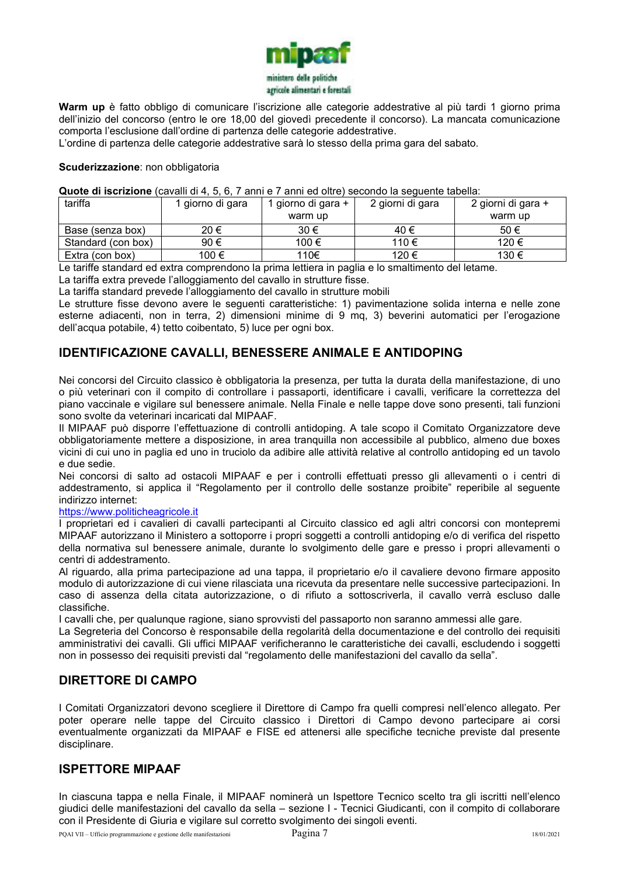

**Warm up** è fatto obbligo di comunicare l'iscrizione alle categorie addestrative al più tardi 1 giorno prima dell'inizio del concorso (entro le ore 18,00 del giovedì precedente il concorso). La mancata comunicazione comporta l'esclusione dall'ordine di partenza delle categorie addestrative.

L'ordine di partenza delle categorie addestrative sarà lo stesso della prima gara del sabato.

#### **Scuderizzazione**: non obbligatoria

#### **Quote di iscrizione** (cavalli di 4, 5, 6, 7 anni e 7 anni ed oltre) secondo la seguente tabella:

| tariffa            | 1 giorno di gara | 1 giorno di gara + | 2 giorni di gara | 2 giorni di gara + |
|--------------------|------------------|--------------------|------------------|--------------------|
|                    |                  | warm up            |                  | warm up            |
| Base (senza box)   | 20 €             | 30 €               | 40 €             | 50 €               |
| Standard (con box) | 90€              | 100 €              | 110 €            | 120 €              |
| Extra (con box)    | 100 €            | 110€               | 120 €            | 130 €              |

Le tariffe standard ed extra comprendono la prima lettiera in paglia e lo smaltimento del letame.

La tariffa extra prevede l'alloggiamento del cavallo in strutture fisse.

La tariffa standard prevede l'alloggiamento del cavallo in strutture mobili

Le strutture fisse devono avere le seguenti caratteristiche: 1) pavimentazione solida interna e nelle zone esterne adiacenti, non in terra, 2) dimensioni minime di 9 mq, 3) beverini automatici per l'erogazione dell'acqua potabile, 4) tetto coibentato, 5) luce per ogni box.

### **IDENTIFICAZIONE CAVALLI, BENESSERE ANIMALE E ANTIDOPING**

Nei concorsi del Circuito classico è obbligatoria la presenza, per tutta la durata della manifestazione, di uno o più veterinari con il compito di controllare i passaporti, identificare i cavalli, verificare la correttezza del piano vaccinale e vigilare sul benessere animale. Nella Finale e nelle tappe dove sono presenti, tali funzioni sono svolte da veterinari incaricati dal MIPAAF.

Il MIPAAF può disporre l'effettuazione di controlli antidoping. A tale scopo il Comitato Organizzatore deve obbligatoriamente mettere a disposizione, in area tranquilla non accessibile al pubblico, almeno due boxes vicini di cui uno in paglia ed uno in truciolo da adibire alle attività relative al controllo antidoping ed un tavolo e due sedie.

Nei concorsi di salto ad ostacoli MIPAAF e per i controlli effettuati presso gli allevamenti o i centri di addestramento, si applica il "Regolamento per il controllo delle sostanze proibite" reperibile al seguente indirizzo internet:

#### https://www.politicheagricole.it

I proprietari ed i cavalieri di cavalli partecipanti al Circuito classico ed agli altri concorsi con montepremi MIPAAF autorizzano il Ministero a sottoporre i propri soggetti a controlli antidoping e/o di verifica del rispetto della normativa sul benessere animale, durante lo svolgimento delle gare e presso i propri allevamenti o centri di addestramento.

Al riguardo, alla prima partecipazione ad una tappa, il proprietario e/o il cavaliere devono firmare apposito modulo di autorizzazione di cui viene rilasciata una ricevuta da presentare nelle successive partecipazioni. In caso di assenza della citata autorizzazione, o di rifiuto a sottoscriverla, il cavallo verrà escluso dalle classifiche.

I cavalli che, per qualunque ragione, siano sprovvisti del passaporto non saranno ammessi alle gare.

La Segreteria del Concorso è responsabile della regolarità della documentazione e del controllo dei requisiti amministrativi dei cavalli. Gli uffici MIPAAF verificheranno le caratteristiche dei cavalli, escludendo i soggetti non in possesso dei requisiti previsti dal "regolamento delle manifestazioni del cavallo da sella".

### **DIRETTORE DI CAMPO**

I Comitati Organizzatori devono scegliere il Direttore di Campo fra quelli compresi nell'elenco allegato. Per poter operare nelle tappe del Circuito classico i Direttori di Campo devono partecipare ai corsi eventualmente organizzati da MIPAAF e FISE ed attenersi alle specifiche tecniche previste dal presente disciplinare.

# **ISPETTORE MIPAAF**

In ciascuna tappa e nella Finale, il MIPAAF nominerà un Ispettore Tecnico scelto tra gli iscritti nell'elenco giudici delle manifestazioni del cavallo da sella – sezione I - Tecnici Giudicanti, con il compito di collaborare con il Presidente di Giuria e vigilare sul corretto svolgimento dei singoli eventi.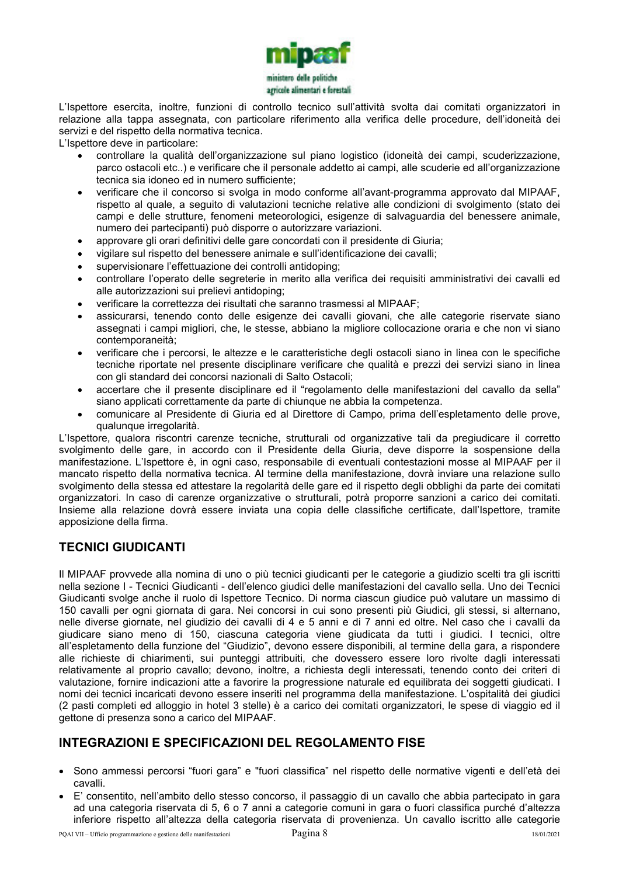

L'Ispettore esercita, inoltre, funzioni di controllo tecnico sull'attività svolta dai comitati organizzatori in relazione alla tappa assegnata, con particolare riferimento alla verifica delle procedure, dell'idoneità dei servizi e del rispetto della normativa tecnica.

L'Ispettore deve in particolare:

- controllare la qualità dell'organizzazione sul piano logistico (idoneità dei campi, scuderizzazione, parco ostacoli etc..) e verificare che il personale addetto ai campi, alle scuderie ed all'organizzazione tecnica sia idoneo ed in numero sufficiente;
- verificare che il concorso si svolga in modo conforme all'avant-programma approvato dal MIPAAF, rispetto al quale, a seguito di valutazioni tecniche relative alle condizioni di svolgimento (stato dei campi e delle strutture, fenomeni meteorologici, esigenze di salvaguardia del benessere animale, numero dei partecipanti) può disporre o autorizzare variazioni.
- approvare gli orari definitivi delle gare concordati con il presidente di Giuria;
- vigilare sul rispetto del benessere animale e sull'identificazione dei cavalli;
- supervisionare l'effettuazione dei controlli antidoping;
- controllare l'operato delle segreterie in merito alla verifica dei requisiti amministrativi dei cavalli ed alle autorizzazioni sui prelievi antidoping;
- verificare la correttezza dei risultati che saranno trasmessi al MIPAAF;
- assicurarsi, tenendo conto delle esigenze dei cavalli giovani, che alle categorie riservate siano assegnati i campi migliori, che, le stesse, abbiano la migliore collocazione oraria e che non vi siano contemporaneità;
- verificare che i percorsi, le altezze e le caratteristiche degli ostacoli siano in linea con le specifiche tecniche riportate nel presente disciplinare verificare che qualità e prezzi dei servizi siano in linea con gli standard dei concorsi nazionali di Salto Ostacoli;
- accertare che il presente disciplinare ed il "regolamento delle manifestazioni del cavallo da sella" siano applicati correttamente da parte di chiunque ne abbia la competenza.
- comunicare al Presidente di Giuria ed al Direttore di Campo, prima dell'espletamento delle prove, qualunque irregolarità.

L'Ispettore, qualora riscontri carenze tecniche, strutturali od organizzative tali da pregiudicare il corretto svolgimento delle gare, in accordo con il Presidente della Giuria, deve disporre la sospensione della manifestazione. L'Ispettore è, in ogni caso, responsabile di eventuali contestazioni mosse al MIPAAF per il mancato rispetto della normativa tecnica. Al termine della manifestazione, dovrà inviare una relazione sullo svolgimento della stessa ed attestare la regolarità delle gare ed il rispetto degli obblighi da parte dei comitati organizzatori. In caso di carenze organizzative o strutturali, potrà proporre sanzioni a carico dei comitati. Insieme alla relazione dovrà essere inviata una copia delle classifiche certificate, dall'Ispettore, tramite apposizione della firma.

# **TECNICI GIUDICANTI**

Il MIPAAF provvede alla nomina di uno o più tecnici giudicanti per le categorie a giudizio scelti tra gli iscritti nella sezione I - Tecnici Giudicanti - dell'elenco giudici delle manifestazioni del cavallo sella. Uno dei Tecnici Giudicanti svolge anche il ruolo di Ispettore Tecnico. Di norma ciascun giudice può valutare un massimo di 150 cavalli per ogni giornata di gara. Nei concorsi in cui sono presenti più Giudici, gli stessi, si alternano, nelle diverse giornate, nel giudizio dei cavalli di 4 e 5 anni e di 7 anni ed oltre. Nel caso che i cavalli da giudicare siano meno di 150, ciascuna categoria viene giudicata da tutti i giudici. I tecnici, oltre all'espletamento della funzione del "Giudizio", devono essere disponibili, al termine della gara, a rispondere alle richieste di chiarimenti, sui punteggi attribuiti, che dovessero essere loro rivolte dagli interessati relativamente al proprio cavallo; devono, inoltre, a richiesta degli interessati, tenendo conto dei criteri di valutazione, fornire indicazioni atte a favorire la progressione naturale ed equilibrata dei soggetti giudicati. I nomi dei tecnici incaricati devono essere inseriti nel programma della manifestazione. L'ospitalità dei giudici (2 pasti completi ed alloggio in hotel 3 stelle) è a carico dei comitati organizzatori, le spese di viaggio ed il gettone di presenza sono a carico del MIPAAF.

# **INTEGRAZIONI E SPECIFICAZIONI DEL REGOLAMENTO FISE**

- Sono ammessi percorsi "fuori gara" e "fuori classifica" nel rispetto delle normative vigenti e dell'età dei cavalli.
- E' consentito, nell'ambito dello stesso concorso, il passaggio di un cavallo che abbia partecipato in gara ad una categoria riservata di 5, 6 o 7 anni a categorie comuni in gara o fuori classifica purché d'altezza inferiore rispetto all'altezza della categoria riservata di provenienza. Un cavallo iscritto alle categorie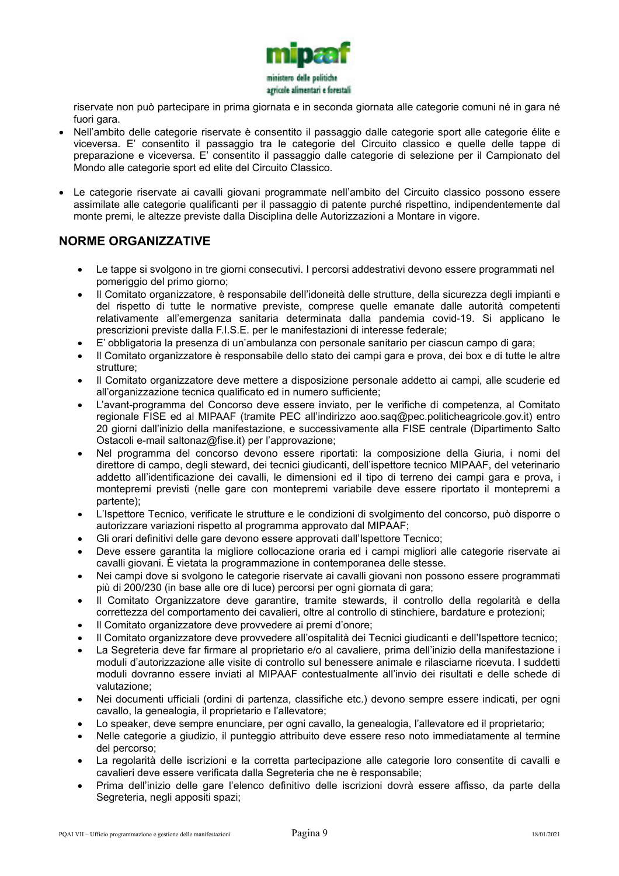

riservate non può partecipare in prima giornata e in seconda giornata alle categorie comuni né in gara né fuori gara.

- Nell'ambito delle categorie riservate è consentito il passaggio dalle categorie sport alle categorie élite e viceversa. E' consentito il passaggio tra le categorie del Circuito classico e quelle delle tappe di preparazione e viceversa. E' consentito il passaggio dalle categorie di selezione per il Campionato del Mondo alle categorie sport ed elite del Circuito Classico.
- Le categorie riservate ai cavalli giovani programmate nell'ambito del Circuito classico possono essere assimilate alle categorie qualificanti per il passaggio di patente purché rispettino, indipendentemente dal monte premi, le altezze previste dalla Disciplina delle Autorizzazioni a Montare in vigore.

# **NORME ORGANIZZATIVE**

- Le tappe si svolgono in tre giorni consecutivi. I percorsi addestrativi devono essere programmati nel pomeriggio del primo giorno;
- Il Comitato organizzatore, è responsabile dell'idoneità delle strutture, della sicurezza degli impianti e del rispetto di tutte le normative previste, comprese quelle emanate dalle autorità competenti relativamente all'emergenza sanitaria determinata dalla pandemia covid-19. Si applicano le prescrizioni previste dalla F.I.S.E. per le manifestazioni di interesse federale;
- E' obbligatoria la presenza di un'ambulanza con personale sanitario per ciascun campo di gara;
- Il Comitato organizzatore è responsabile dello stato dei campi gara e prova, dei box e di tutte le altre strutture;
- Il Comitato organizzatore deve mettere a disposizione personale addetto ai campi, alle scuderie ed all'organizzazione tecnica qualificato ed in numero sufficiente;
- L'avant-programma del Concorso deve essere inviato, per le verifiche di competenza, al Comitato regionale FISE ed al MIPAAF (tramite PEC all'indirizzo aoo.saq@pec.politicheagricole.gov.it) entro 20 giorni dall'inizio della manifestazione, e successivamente alla FISE centrale (Dipartimento Salto Ostacoli e-mail saltonaz@fise.it) per l'approvazione;
- Nel programma del concorso devono essere riportati: la composizione della Giuria, i nomi del direttore di campo, degli steward, dei tecnici giudicanti, dell'ispettore tecnico MIPAAF, del veterinario addetto all'identificazione dei cavalli, le dimensioni ed il tipo di terreno dei campi gara e prova, i montepremi previsti (nelle gare con montepremi variabile deve essere riportato il montepremi a partente);
- L'Ispettore Tecnico, verificate le strutture e le condizioni di svolgimento del concorso, può disporre o autorizzare variazioni rispetto al programma approvato dal MIPAAF;
- Gli orari definitivi delle gare devono essere approvati dall'Ispettore Tecnico;
- Deve essere garantita la migliore collocazione oraria ed i campi migliori alle categorie riservate ai cavalli giovani. È vietata la programmazione in contemporanea delle stesse.
- Nei campi dove si svolgono le categorie riservate ai cavalli giovani non possono essere programmati più di 200/230 (in base alle ore di luce) percorsi per ogni giornata di gara;
- Il Comitato Organizzatore deve garantire, tramite stewards, il controllo della regolarità e della correttezza del comportamento dei cavalieri, oltre al controllo di stinchiere, bardature e protezioni;
- Il Comitato organizzatore deve provvedere ai premi d'onore;
- Il Comitato organizzatore deve provvedere all'ospitalità dei Tecnici giudicanti e dell'Ispettore tecnico;
- La Segreteria deve far firmare al proprietario e/o al cavaliere, prima dell'inizio della manifestazione i moduli d'autorizzazione alle visite di controllo sul benessere animale e rilasciarne ricevuta. I suddetti moduli dovranno essere inviati al MIPAAF contestualmente all'invio dei risultati e delle schede di valutazione;
- Nei documenti ufficiali (ordini di partenza, classifiche etc.) devono sempre essere indicati, per ogni cavallo, la genealogia, il proprietario e l'allevatore;
- Lo speaker, deve sempre enunciare, per ogni cavallo, la genealogia, l'allevatore ed il proprietario;
- Nelle categorie a giudizio, il punteggio attribuito deve essere reso noto immediatamente al termine del percorso;
- La regolarità delle iscrizioni e la corretta partecipazione alle categorie loro consentite di cavalli e cavalieri deve essere verificata dalla Segreteria che ne è responsabile;
- Prima dell'inizio delle gare l'elenco definitivo delle iscrizioni dovrà essere affisso, da parte della Segreteria, negli appositi spazi;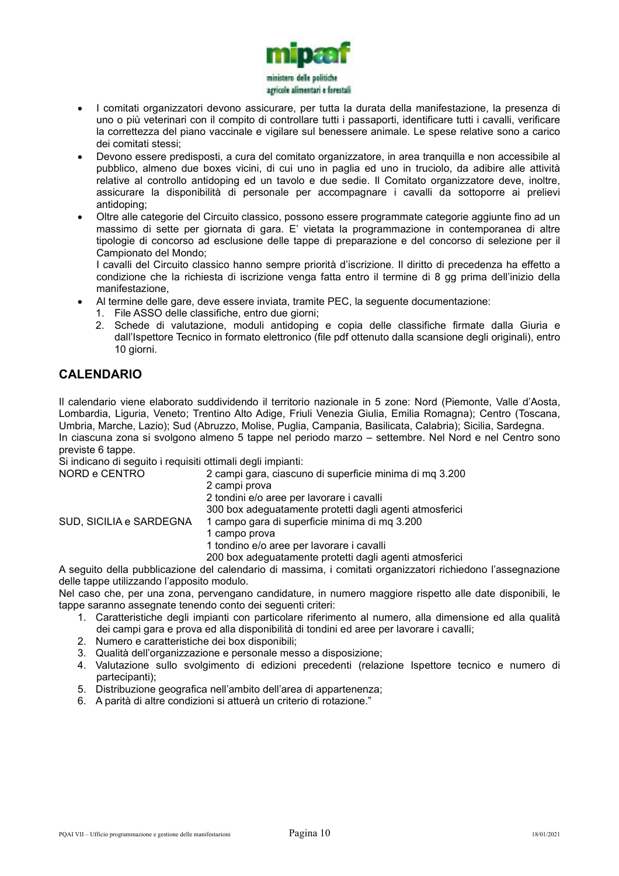

- I comitati organizzatori devono assicurare, per tutta la durata della manifestazione, la presenza di uno o più veterinari con il compito di controllare tutti i passaporti, identificare tutti i cavalli, verificare la correttezza del piano vaccinale e vigilare sul benessere animale. Le spese relative sono a carico dei comitati stessi;
- Devono essere predisposti, a cura del comitato organizzatore, in area tranquilla e non accessibile al pubblico, almeno due boxes vicini, di cui uno in paglia ed uno in truciolo, da adibire alle attività relative al controllo antidoping ed un tavolo e due sedie. Il Comitato organizzatore deve, inoltre, assicurare la disponibilità di personale per accompagnare i cavalli da sottoporre ai prelievi antidoping;
- Oltre alle categorie del Circuito classico, possono essere programmate categorie aggiunte fino ad un massimo di sette per giornata di gara. E' vietata la programmazione in contemporanea di altre tipologie di concorso ad esclusione delle tappe di preparazione e del concorso di selezione per il Campionato del Mondo;

I cavalli del Circuito classico hanno sempre priorità d'iscrizione. Il diritto di precedenza ha effetto a condizione che la richiesta di iscrizione venga fatta entro il termine di 8 gg prima dell'inizio della manifestazione,

- Al termine delle gare, deve essere inviata, tramite PEC, la seguente documentazione:
	- 1. File ASSO delle classifiche, entro due giorni;
	- 2. Schede di valutazione, moduli antidoping e copia delle classifiche firmate dalla Giuria e dall'Ispettore Tecnico in formato elettronico (file pdf ottenuto dalla scansione degli originali), entro 10 giorni.

# **CALENDARIO**

Il calendario viene elaborato suddividendo il territorio nazionale in 5 zone: Nord (Piemonte, Valle d'Aosta, Lombardia, Liguria, Veneto; Trentino Alto Adige, Friuli Venezia Giulia, Emilia Romagna); Centro (Toscana, Umbria, Marche, Lazio); Sud (Abruzzo, Molise, Puglia, Campania, Basilicata, Calabria); Sicilia, Sardegna. In ciascuna zona si svolgono almeno 5 tappe nel periodo marzo – settembre. Nel Nord e nel Centro sono previste 6 tappe.

Si indicano di seguito i requisiti ottimali degli impianti:

| NORD e CENTRO           | 2 campi gara, ciascuno di superficie minima di mq 3.200<br>2 campi prova |
|-------------------------|--------------------------------------------------------------------------|
|                         | 2 tondini e/o aree per lavorare i cavalli                                |
|                         | 300 box adeguatamente protetti dagli agenti atmosferici                  |
| SUD, SICILIA e SARDEGNA | 1 campo gara di superficie minima di mg 3.200                            |
|                         | 1 campo prova                                                            |
|                         | 1 tondino e/o aree per lavorare i cavalli                                |
|                         | 200 box adeguatamente protetti dagli agenti atmosferici                  |

A seguito della pubblicazione del calendario di massima, i comitati organizzatori richiedono l'assegnazione delle tappe utilizzando l'apposito modulo.

Nel caso che, per una zona, pervengano candidature, in numero maggiore rispetto alle date disponibili, le tappe saranno assegnate tenendo conto dei seguenti criteri:

- 1. Caratteristiche degli impianti con particolare riferimento al numero, alla dimensione ed alla qualità dei campi gara e prova ed alla disponibilità di tondini ed aree per lavorare i cavalli;
- 2. Numero e caratteristiche dei box disponibili;
- 3. Qualità dell'organizzazione e personale messo a disposizione;
- 4. Valutazione sullo svolgimento di edizioni precedenti (relazione Ispettore tecnico e numero di partecipanti);
- 5. Distribuzione geografica nell'ambito dell'area di appartenenza;
- 6. A parità di altre condizioni si attuerà un criterio di rotazione."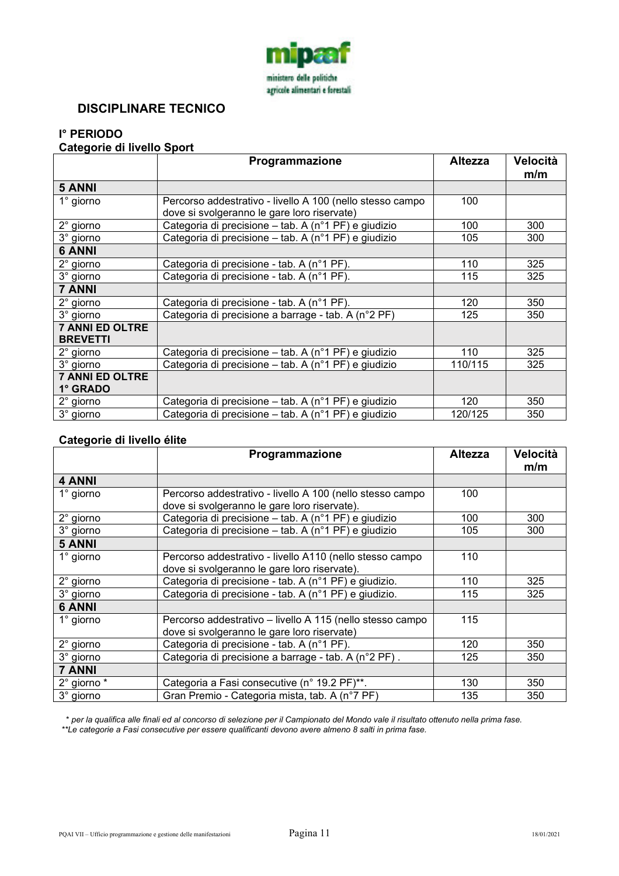

# **DISCIPLINARE TECNICO**

# **I° PERIODO**

#### **Categorie di livello Sport**

|                                           | Programmazione                                                                                           | <b>Altezza</b> | Velocità<br>m/m |
|-------------------------------------------|----------------------------------------------------------------------------------------------------------|----------------|-----------------|
| <b>5 ANNI</b>                             |                                                                                                          |                |                 |
| 1° giorno                                 | Percorso addestrativo - livello A 100 (nello stesso campo<br>dove si svolgeranno le gare loro riservate) | 100            |                 |
| $2^{\circ}$ giorno                        | Categoria di precisione – tab. A (n°1 PF) e giudizio                                                     | 100            | 300             |
| 3° giorno                                 | Categoria di precisione – tab. A (n°1 PF) e giudizio                                                     | 105            | 300             |
| <b>6 ANNI</b>                             |                                                                                                          |                |                 |
| 2° giorno                                 | Categoria di precisione - tab. A (n°1 PF).                                                               | 110            | 325             |
| 3° giorno                                 | Categoria di precisione - tab. A (n°1 PF).                                                               | 115            | 325             |
| <b>7 ANNI</b>                             |                                                                                                          |                |                 |
| $2^\circ$ giorno                          | Categoria di precisione - tab. A (n°1 PF).                                                               | 120            | 350             |
| 3° giorno                                 | Categoria di precisione a barrage - tab. A (n°2 PF)                                                      | 125            | 350             |
| <b>7 ANNI ED OLTRE</b><br><b>BREVETTI</b> |                                                                                                          |                |                 |
| $2^\circ$ giorno                          | Categoria di precisione – tab. A (n°1 PF) e giudizio                                                     | 110            | 325             |
| 3° giorno                                 | Categoria di precisione – tab. A (n°1 PF) e giudizio                                                     | 110/115        | 325             |
| <b>7 ANNI ED OLTRE</b><br>1° GRADO        |                                                                                                          |                |                 |
| $2^{\circ}$ giorno                        | Categoria di precisione – tab. A (n°1 PF) e giudizio                                                     | 120            | 350             |
| 3° giorno                                 | Categoria di precisione – tab. A (n°1 PF) e giudizio                                                     | 120/125        | 350             |

#### **Categorie di livello élite**

|                    | Programmazione                                                                                            | <b>Altezza</b> | Velocità<br>m/m |
|--------------------|-----------------------------------------------------------------------------------------------------------|----------------|-----------------|
| 4 ANNI             |                                                                                                           |                |                 |
| $1^\circ$ giorno   | Percorso addestrativo - livello A 100 (nello stesso campo<br>dove si svolgeranno le gare loro riservate). | 100            |                 |
| $2^{\circ}$ giorno | Categoria di precisione – tab. A (n°1 PF) e giudizio                                                      | 100            | 300             |
| 3° giorno          | Categoria di precisione – tab. A (n°1 PF) e giudizio                                                      | 105            | 300             |
| <b>5 ANNI</b>      |                                                                                                           |                |                 |
| $1^\circ$ giorno   | Percorso addestrativo - livello A110 (nello stesso campo<br>dove si svolgeranno le gare loro riservate).  | 110            |                 |
| 2° giorno          | Categoria di precisione - tab. A (n°1 PF) e giudizio.                                                     | 110            | 325             |
| 3° giorno          | Categoria di precisione - tab. A (n°1 PF) e giudizio.                                                     | 115            | 325             |
| <b>6 ANNI</b>      |                                                                                                           |                |                 |
| $1^\circ$ giorno   | Percorso addestrativo – livello A 115 (nello stesso campo<br>dove si svolgeranno le gare loro riservate)  | 115            |                 |
| 2° giorno          | Categoria di precisione - tab. A (n°1 PF).                                                                | 120            | 350             |
| 3° giorno          | Categoria di precisione a barrage - tab. A (n°2 PF).                                                      | 125            | 350             |
| <b>7 ANNI</b>      |                                                                                                           |                |                 |
| 2° giorno *        | Categoria a Fasi consecutive (n° 19.2 PF)**.                                                              | 130            | 350             |
| 3° giorno          | Gran Premio - Categoria mista, tab. A (n°7 PF)                                                            | 135            | 350             |

 \* *per la qualifica alle finali ed al concorso di selezione per il Campionato del Mondo vale il risultato ottenuto nella prima fase. \*\*Le categorie a Fasi consecutive per essere qualificanti devono avere almeno 8 salti in prima fase.*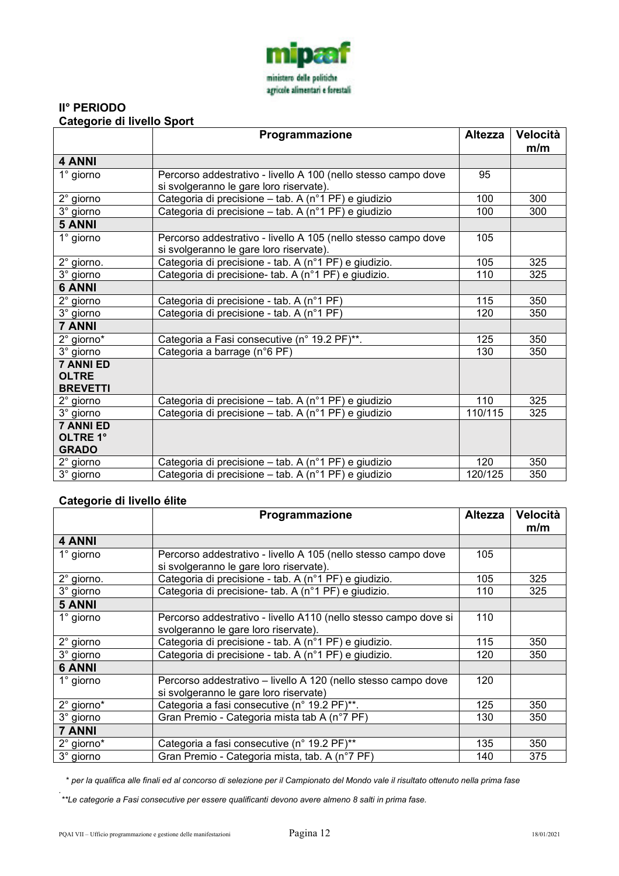

#### **II° PERIODO Categorie di livello Sport**

|                                 | Programmazione                                                                                            | <b>Altezza</b> | Velocità<br>m/m |
|---------------------------------|-----------------------------------------------------------------------------------------------------------|----------------|-----------------|
| 4 ANNI                          |                                                                                                           |                |                 |
| $1^\circ$ giorno                | Percorso addestrativo - livello A 100 (nello stesso campo dove<br>si svolgeranno le gare loro riservate). | 95             |                 |
| 2° giorno                       | Categoria di precisione - tab. A (n°1 PF) e giudizio                                                      | 100            | 300             |
| 3° giorno                       | Categoria di precisione - tab. A (n°1 PF) e giudizio                                                      | 100            | 300             |
| <b>5 ANNI</b>                   |                                                                                                           |                |                 |
| $1^\circ$ giorno                | Percorso addestrativo - livello A 105 (nello stesso campo dove<br>si svolgeranno le gare loro riservate). | 105            |                 |
| 2° giorno.                      | Categoria di precisione - tab. A (n°1 PF) e giudizio.                                                     | 105            | 325             |
| 3° giorno                       | Categoria di precisione- tab. A (n°1 PF) e giudizio.                                                      | 110            | 325             |
| <b>6 ANNI</b>                   |                                                                                                           |                |                 |
| 2° giorno                       | Categoria di precisione - tab. A (n°1 PF)                                                                 | 115            | 350             |
| 3° giorno                       | Categoria di precisione - tab. A (n°1 PF)                                                                 | 120            | 350             |
| <b>7 ANNI</b>                   |                                                                                                           |                |                 |
| 2° giorno*                      | Categoria a Fasi consecutive (n° 19.2 PF)**.                                                              | 125            | 350             |
| 3° giorno                       | Categoria a barrage (n°6 PF)                                                                              | 130            | 350             |
| <b>7 ANNI ED</b>                |                                                                                                           |                |                 |
| <b>OLTRE</b><br><b>BREVETTI</b> |                                                                                                           |                |                 |
| 2° giorno                       | Categoria di precisione - tab. A (n°1 PF) e giudizio                                                      | 110            | 325             |
| 3° giorno                       | Categoria di precisione - tab. A (n°1 PF) e giudizio                                                      | 110/115        | 325             |
| <b>7 ANNI ED</b>                |                                                                                                           |                |                 |
| OLTRE 1°                        |                                                                                                           |                |                 |
| <b>GRADO</b>                    |                                                                                                           |                |                 |
| $2^{\circ}$ giorno              | Categoria di precisione – tab. A (n°1 PF) e giudizio                                                      | 120            | 350             |
| 3° giorno                       | Categoria di precisione - tab. A (n°1 PF) e giudizio                                                      | 120/125        | 350             |

### **Categorie di livello élite**

|                    | Programmazione                                                                                           | <b>Altezza</b> | Velocità<br>m/m |
|--------------------|----------------------------------------------------------------------------------------------------------|----------------|-----------------|
| 4 ANNI             |                                                                                                          |                |                 |
| $1^\circ$ giorno   | Percorso addestrativo - livello A 105 (nello stesso campo dove                                           | 105            |                 |
|                    | si svolgeranno le gare loro riservate).                                                                  |                |                 |
| 2° giorno.         | Categoria di precisione - tab. A (n°1 PF) e giudizio.                                                    | 105            | 325             |
| 3° giorno          | Categoria di precisione- tab. A (n°1 PF) e giudizio.                                                     | 110            | 325             |
| <b>5 ANNI</b>      |                                                                                                          |                |                 |
| $1^\circ$ giorno   | Percorso addestrativo - livello A110 (nello stesso campo dove si<br>svolgeranno le gare loro riservate). | 110            |                 |
| $2^{\circ}$ giorno | Categoria di precisione - tab. A (n°1 PF) e giudizio.                                                    | 115            | 350             |
| 3° giorno          | Categoria di precisione - tab. A (n°1 PF) e giudizio.                                                    | 120            | 350             |
| <b>6 ANNI</b>      |                                                                                                          |                |                 |
| $1^\circ$ giorno   | Percorso addestrativo - livello A 120 (nello stesso campo dove<br>si svolgeranno le gare loro riservate) | 120            |                 |
| 2° giorno*         | Categoria a fasi consecutive (n° 19.2 PF)**.                                                             | 125            | 350             |
| 3° giorno          | Gran Premio - Categoria mista tab A (n°7 PF)                                                             | 130            | 350             |
| <b>7 ANNI</b>      |                                                                                                          |                |                 |
| 2° giorno*         | Categoria a fasi consecutive (n° 19.2 PF)**                                                              | 135            | 350             |
| 3° giorno          | Gran Premio - Categoria mista, tab. A (n°7 PF)                                                           | 140            | 375             |

\* *per la qualifica alle finali ed al concorso di selezione per il Campionato del Mondo vale il risultato ottenuto nella prima fase* 

 *\*\*Le categorie a Fasi consecutive per essere qualificanti devono avere almeno 8 salti in prima fase.* 

*.*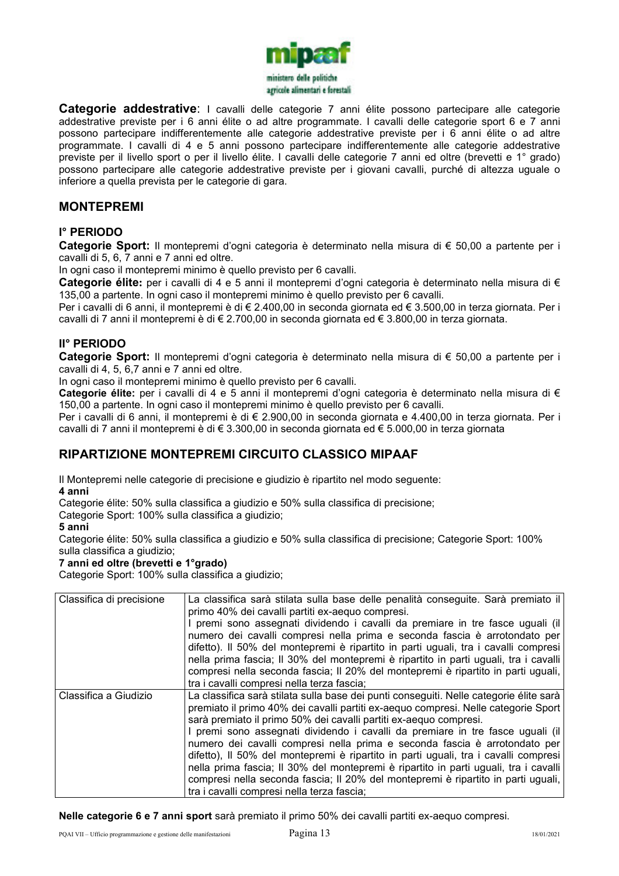

**Categorie addestrative**: I cavalli delle categorie 7 anni élite possono partecipare alle categorie addestrative previste per i 6 anni élite o ad altre programmate. I cavalli delle categorie sport 6 e 7 anni possono partecipare indifferentemente alle categorie addestrative previste per i 6 anni élite o ad altre programmate. I cavalli di 4 e 5 anni possono partecipare indifferentemente alle categorie addestrative previste per il livello sport o per il livello élite. I cavalli delle categorie 7 anni ed oltre (brevetti e 1° grado) possono partecipare alle categorie addestrative previste per i giovani cavalli, purché di altezza uguale o inferiore a quella prevista per le categorie di gara.

### **MONTEPREMI**

#### **I° PERIODO**

**Categorie Sport:** Il montepremi d'ogni categoria è determinato nella misura di € 50,00 a partente per i cavalli di 5, 6, 7 anni e 7 anni ed oltre.

In ogni caso il montepremi minimo è quello previsto per 6 cavalli.

**Categorie élite:** per i cavalli di 4 e 5 anni il montepremi d'ogni categoria è determinato nella misura di € 135,00 a partente. In ogni caso il montepremi minimo è quello previsto per 6 cavalli.

Per i cavalli di 6 anni, il montepremi è di € 2.400,00 in seconda giornata ed € 3.500,00 in terza giornata. Per i cavalli di 7 anni il montepremi è di € 2.700,00 in seconda giornata ed € 3.800,00 in terza giornata.

#### **II° PERIODO**

**Categorie Sport:** Il montepremi d'ogni categoria è determinato nella misura di € 50,00 a partente per i cavalli di 4, 5, 6,7 anni e 7 anni ed oltre.

In ogni caso il montepremi minimo è quello previsto per 6 cavalli.

**Categorie élite:** per i cavalli di 4 e 5 anni il montepremi d'ogni categoria è determinato nella misura di € 150,00 a partente. In ogni caso il montepremi minimo è quello previsto per 6 cavalli.

Per i cavalli di 6 anni, il montepremi è di € 2.900,00 in seconda giornata e 4.400,00 in terza giornata. Per i cavalli di 7 anni il montepremi è di € 3.300,00 in seconda giornata ed € 5.000,00 in terza giornata

### **RIPARTIZIONE MONTEPREMI CIRCUITO CLASSICO MIPAAF**

Il Montepremi nelle categorie di precisione e giudizio è ripartito nel modo seguente:

**4 anni** 

Categorie élite: 50% sulla classifica a giudizio e 50% sulla classifica di precisione;

Categorie Sport: 100% sulla classifica a giudizio;

**5 anni** 

Categorie élite: 50% sulla classifica a giudizio e 50% sulla classifica di precisione; Categorie Sport: 100% sulla classifica a giudizio;

#### **7 anni ed oltre (brevetti e 1°grado)**

Categorie Sport: 100% sulla classifica a giudizio;

| Classifica di precisione | La classifica sarà stilata sulla base delle penalità conseguite. Sarà premiato il<br>primo 40% dei cavalli partiti ex-aequo compresi.<br>premi sono assegnati dividendo i cavalli da premiare in tre fasce uguali (il<br>numero dei cavalli compresi nella prima e seconda fascia è arrotondato per<br>difetto). Il 50% del montepremi è ripartito in parti uguali, tra i cavalli compresi<br>nella prima fascia; Il 30% del montepremi è ripartito in parti uguali, tra i cavalli<br>compresi nella seconda fascia; Il 20% del montepremi è ripartito in parti uguali,<br>tra i cavalli compresi nella terza fascia;                                                                                                               |
|--------------------------|-------------------------------------------------------------------------------------------------------------------------------------------------------------------------------------------------------------------------------------------------------------------------------------------------------------------------------------------------------------------------------------------------------------------------------------------------------------------------------------------------------------------------------------------------------------------------------------------------------------------------------------------------------------------------------------------------------------------------------------|
| Classifica a Giudizio    | La classifica sarà stilata sulla base dei punti conseguiti. Nelle categorie élite sarà<br>premiato il primo 40% dei cavalli partiti ex-aequo compresi. Nelle categorie Sport<br>sarà premiato il primo 50% dei cavalli partiti ex-aequo compresi.<br>I premi sono assegnati dividendo i cavalli da premiare in tre fasce uguali (il<br>numero dei cavalli compresi nella prima e seconda fascia è arrotondato per<br>difetto), Il 50% del montepremi è ripartito in parti uguali, tra i cavalli compresi<br>nella prima fascia; Il 30% del montepremi è ripartito in parti uguali, tra i cavalli<br>compresi nella seconda fascia; Il 20% del montepremi è ripartito in parti uguali,<br>tra i cavalli compresi nella terza fascia; |

**Nelle categorie 6 e 7 anni sport** sarà premiato il primo 50% dei cavalli partiti ex-aequo compresi.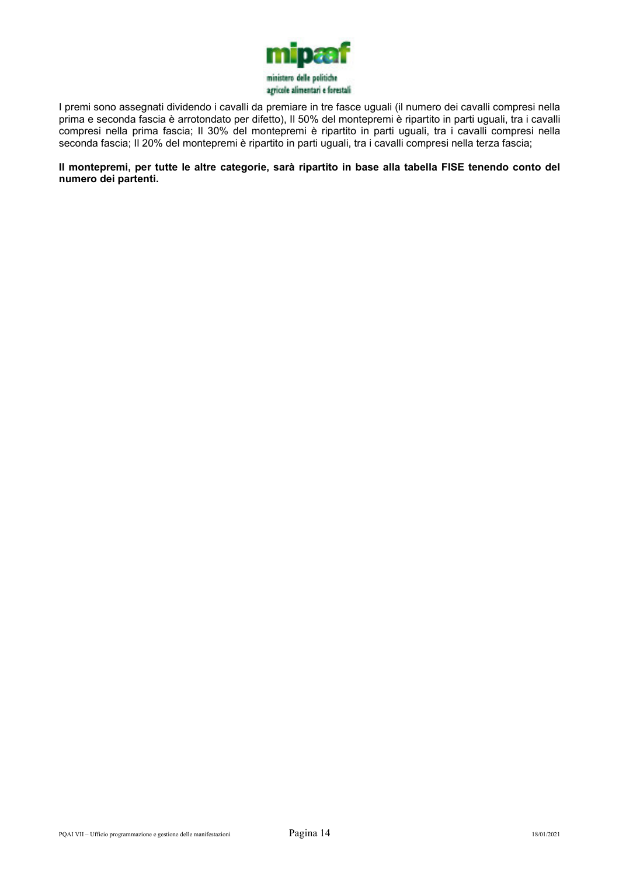

I premi sono assegnati dividendo i cavalli da premiare in tre fasce uguali (il numero dei cavalli compresi nella prima e seconda fascia è arrotondato per difetto), Il 50% del montepremi è ripartito in parti uguali, tra i cavalli compresi nella prima fascia; Il 30% del montepremi è ripartito in parti uguali, tra i cavalli compresi nella seconda fascia; Il 20% del montepremi è ripartito in parti uguali, tra i cavalli compresi nella terza fascia;

**Il montepremi, per tutte le altre categorie, sarà ripartito in base alla tabella FISE tenendo conto del numero dei partenti.**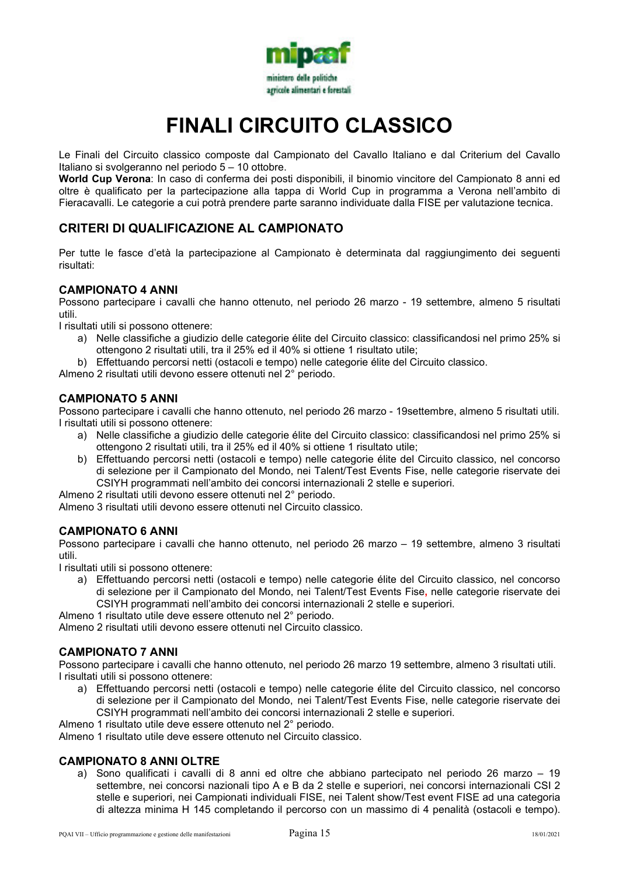

# **FINALI CIRCUITO CLASSICO**

Le Finali del Circuito classico composte dal Campionato del Cavallo Italiano e dal Criterium del Cavallo Italiano si svolgeranno nel periodo 5 – 10 ottobre.

**World Cup Verona**: In caso di conferma dei posti disponibili, il binomio vincitore del Campionato 8 anni ed oltre è qualificato per la partecipazione alla tappa di World Cup in programma a Verona nell'ambito di Fieracavalli. Le categorie a cui potrà prendere parte saranno individuate dalla FISE per valutazione tecnica.

# **CRITERI DI QUALIFICAZIONE AL CAMPIONATO**

Per tutte le fasce d'età la partecipazione al Campionato è determinata dal raggiungimento dei seguenti risultati:

#### **CAMPIONATO 4 ANNI**

Possono partecipare i cavalli che hanno ottenuto, nel periodo 26 marzo - 19 settembre, almeno 5 risultati utili.

I risultati utili si possono ottenere:

- a) Nelle classifiche a giudizio delle categorie élite del Circuito classico: classificandosi nel primo 25% si ottengono 2 risultati utili, tra il 25% ed il 40% si ottiene 1 risultato utile;
- b) Effettuando percorsi netti (ostacoli e tempo) nelle categorie élite del Circuito classico.

Almeno 2 risultati utili devono essere ottenuti nel 2° periodo.

#### **CAMPIONATO 5 ANNI**

Possono partecipare i cavalli che hanno ottenuto, nel periodo 26 marzo - 19settembre, almeno 5 risultati utili. I risultati utili si possono ottenere:

- a) Nelle classifiche a giudizio delle categorie élite del Circuito classico: classificandosi nel primo 25% si ottengono 2 risultati utili, tra il 25% ed il 40% si ottiene 1 risultato utile;
- b) Effettuando percorsi netti (ostacoli e tempo) nelle categorie élite del Circuito classico, nel concorso di selezione per il Campionato del Mondo, nei Talent/Test Events Fise, nelle categorie riservate dei CSIYH programmati nell'ambito dei concorsi internazionali 2 stelle e superiori.
- Almeno 2 risultati utili devono essere ottenuti nel 2° periodo.

Almeno 3 risultati utili devono essere ottenuti nel Circuito classico.

#### **CAMPIONATO 6 ANNI**

Possono partecipare i cavalli che hanno ottenuto, nel periodo 26 marzo – 19 settembre, almeno 3 risultati utili.

I risultati utili si possono ottenere:

- a) Effettuando percorsi netti (ostacoli e tempo) nelle categorie élite del Circuito classico, nel concorso di selezione per il Campionato del Mondo, nei Talent/Test Events Fise**,** nelle categorie riservate dei CSIYH programmati nell'ambito dei concorsi internazionali 2 stelle e superiori.
- Almeno 1 risultato utile deve essere ottenuto nel 2° periodo.

Almeno 2 risultati utili devono essere ottenuti nel Circuito classico.

#### **CAMPIONATO 7 ANNI**

Possono partecipare i cavalli che hanno ottenuto, nel periodo 26 marzo 19 settembre, almeno 3 risultati utili. I risultati utili si possono ottenere:

a) Effettuando percorsi netti (ostacoli e tempo) nelle categorie élite del Circuito classico, nel concorso di selezione per il Campionato del Mondo, nei Talent/Test Events Fise, nelle categorie riservate dei CSIYH programmati nell'ambito dei concorsi internazionali 2 stelle e superiori.

Almeno 1 risultato utile deve essere ottenuto nel 2° periodo.

Almeno 1 risultato utile deve essere ottenuto nel Circuito classico.

#### **CAMPIONATO 8 ANNI OLTRE**

a) Sono qualificati i cavalli di 8 anni ed oltre che abbiano partecipato nel periodo 26 marzo – 19 settembre, nei concorsi nazionali tipo A e B da 2 stelle e superiori, nei concorsi internazionali CSI 2 stelle e superiori, nei Campionati individuali FISE, nei Talent show/Test event FISE ad una categoria di altezza minima H 145 completando il percorso con un massimo di 4 penalità (ostacoli e tempo).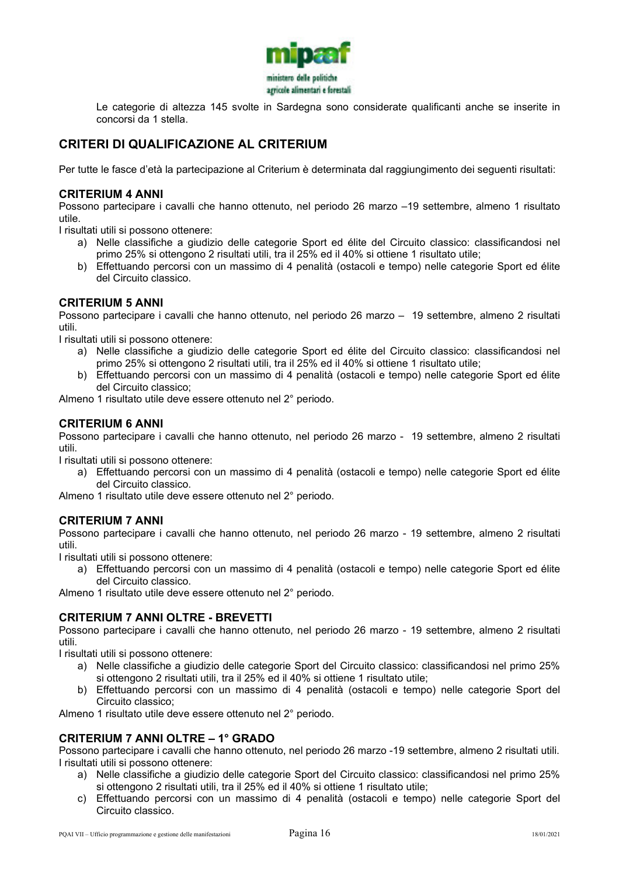

Le categorie di altezza 145 svolte in Sardegna sono considerate qualificanti anche se inserite in concorsi da 1 stella.

# **CRITERI DI QUALIFICAZIONE AL CRITERIUM**

Per tutte le fasce d'età la partecipazione al Criterium è determinata dal raggiungimento dei seguenti risultati:

#### **CRITERIUM 4 ANNI**

Possono partecipare i cavalli che hanno ottenuto, nel periodo 26 marzo –19 settembre, almeno 1 risultato utile.

I risultati utili si possono ottenere:

- a) Nelle classifiche a giudizio delle categorie Sport ed élite del Circuito classico: classificandosi nel primo 25% si ottengono 2 risultati utili, tra il 25% ed il 40% si ottiene 1 risultato utile;
- b) Effettuando percorsi con un massimo di 4 penalità (ostacoli e tempo) nelle categorie Sport ed élite del Circuito classico.

#### **CRITERIUM 5 ANNI**

Possono partecipare i cavalli che hanno ottenuto, nel periodo 26 marzo – 19 settembre, almeno 2 risultati utili.

I risultati utili si possono ottenere:

- a) Nelle classifiche a giudizio delle categorie Sport ed élite del Circuito classico: classificandosi nel primo 25% si ottengono 2 risultati utili, tra il 25% ed il 40% si ottiene 1 risultato utile;
- b) Effettuando percorsi con un massimo di 4 penalità (ostacoli e tempo) nelle categorie Sport ed élite del Circuito classico;

Almeno 1 risultato utile deve essere ottenuto nel 2° periodo.

#### **CRITERIUM 6 ANNI**

Possono partecipare i cavalli che hanno ottenuto, nel periodo 26 marzo - 19 settembre, almeno 2 risultati utili.

I risultati utili si possono ottenere:

a) Effettuando percorsi con un massimo di 4 penalità (ostacoli e tempo) nelle categorie Sport ed élite del Circuito classico.

Almeno 1 risultato utile deve essere ottenuto nel 2° periodo.

#### **CRITERIUM 7 ANNI**

Possono partecipare i cavalli che hanno ottenuto, nel periodo 26 marzo - 19 settembre, almeno 2 risultati utili.

I risultati utili si possono ottenere:

a) Effettuando percorsi con un massimo di 4 penalità (ostacoli e tempo) nelle categorie Sport ed élite del Circuito classico.

Almeno 1 risultato utile deve essere ottenuto nel 2° periodo.

#### **CRITERIUM 7 ANNI OLTRE - BREVETTI**

Possono partecipare i cavalli che hanno ottenuto, nel periodo 26 marzo - 19 settembre, almeno 2 risultati utili.

I risultati utili si possono ottenere:

- a) Nelle classifiche a giudizio delle categorie Sport del Circuito classico: classificandosi nel primo 25% si ottengono 2 risultati utili, tra il 25% ed il 40% si ottiene 1 risultato utile;
- b) Effettuando percorsi con un massimo di 4 penalità (ostacoli e tempo) nelle categorie Sport del Circuito classico;

Almeno 1 risultato utile deve essere ottenuto nel 2° periodo.

#### **CRITERIUM 7 ANNI OLTRE – 1° GRADO**

Possono partecipare i cavalli che hanno ottenuto, nel periodo 26 marzo -19 settembre, almeno 2 risultati utili. I risultati utili si possono ottenere:

- a) Nelle classifiche a giudizio delle categorie Sport del Circuito classico: classificandosi nel primo 25% si ottengono 2 risultati utili, tra il 25% ed il 40% si ottiene 1 risultato utile;
- c) Effettuando percorsi con un massimo di 4 penalità (ostacoli e tempo) nelle categorie Sport del Circuito classico.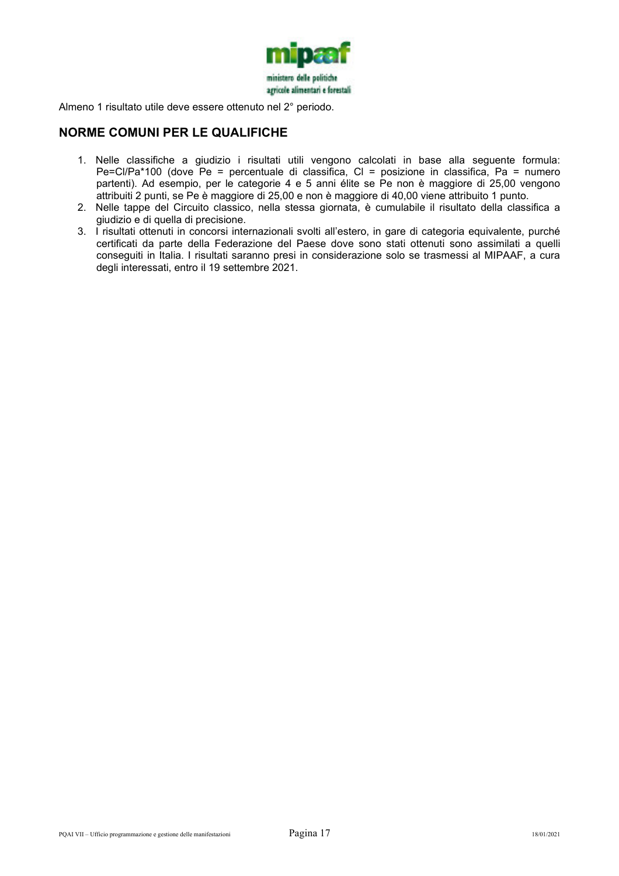

Almeno 1 risultato utile deve essere ottenuto nel 2° periodo.

### **NORME COMUNI PER LE QUALIFICHE**

- 1. Nelle classifiche a giudizio i risultati utili vengono calcolati in base alla seguente formula: Pe=Cl/Pa\*100 (dove Pe = percentuale di classifica, Cl = posizione in classifica, Pa = numero partenti). Ad esempio, per le categorie 4 e 5 anni élite se Pe non è maggiore di 25,00 vengono attribuiti 2 punti, se Pe è maggiore di 25,00 e non è maggiore di 40,00 viene attribuito 1 punto.
- 2. Nelle tappe del Circuito classico, nella stessa giornata, è cumulabile il risultato della classifica a giudizio e di quella di precisione.
- 3. I risultati ottenuti in concorsi internazionali svolti all'estero, in gare di categoria equivalente, purché certificati da parte della Federazione del Paese dove sono stati ottenuti sono assimilati a quelli conseguiti in Italia. I risultati saranno presi in considerazione solo se trasmessi al MIPAAF, a cura degli interessati, entro il 19 settembre 2021.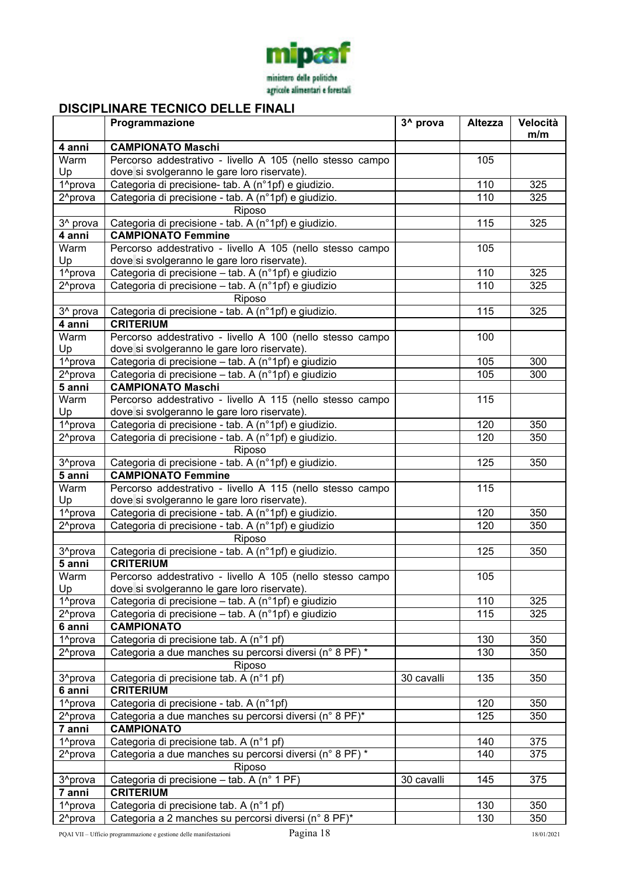

# **DISCIPLINARE TECNICO DELLE FINALI**

|                      | Programmazione                                                                                      | 3 <sup>^</sup> prova | <b>Altezza</b> | Velocità |
|----------------------|-----------------------------------------------------------------------------------------------------|----------------------|----------------|----------|
|                      |                                                                                                     |                      |                | m/m      |
| 4 anni               | <b>CAMPIONATO Maschi</b>                                                                            |                      |                |          |
| Warm<br>Up           | Percorso addestrativo - livello A 105 (nello stesso campo                                           |                      | 105            |          |
| 1 <sup>^</sup> prova | dove si svolgeranno le gare loro riservate).<br>Categoria di precisione- tab. A (n°1pf) e giudizio. |                      | 110            | 325      |
| 2 <sup>^</sup> prova | Categoria di precisione - tab. A (n°1pf) e giudizio.                                                |                      | 110            | 325      |
|                      | Riposo                                                                                              |                      |                |          |
| 3 <sup>^</sup> prova | Categoria di precisione - tab. A (n°1pf) e giudizio.                                                |                      | 115            | 325      |
| 4 anni               | <b>CAMPIONATO Femmine</b>                                                                           |                      |                |          |
| Warm                 | Percorso addestrativo - livello A 105 (nello stesso campo                                           |                      | 105            |          |
| Up                   | dove si svolgeranno le gare loro riservate).                                                        |                      |                |          |
| 1 <sup>^</sup> prova | Categoria di precisione - tab. A (n°1pf) e giudizio                                                 |                      | 110            | 325      |
| 2 <sup>^</sup> prova | Categoria di precisione - tab. A (n°1pf) e giudizio                                                 |                      | 110            | 325      |
|                      | Riposo                                                                                              |                      |                |          |
| 3 <sup>^</sup> prova | Categoria di precisione - tab. A (n°1pf) e giudizio.                                                |                      | 115            | 325      |
| 4 anni               | <b>CRITERIUM</b>                                                                                    |                      |                |          |
| Warm                 | Percorso addestrativo - livello A 100 (nello stesso campo                                           |                      | 100            |          |
| Up                   | dove si svolgeranno le gare loro riservate).                                                        |                      |                |          |
| 1^prova              | Categoria di precisione – tab. A (n°1pf) e giudizio                                                 |                      | 105            | 300      |
| 2 <sup>^</sup> prova | Categoria di precisione - tab. A (n°1pf) e giudizio                                                 |                      | 105            | 300      |
| 5 anni               | <b>CAMPIONATO Maschi</b>                                                                            |                      |                |          |
| Warm                 | Percorso addestrativo - livello A 115 (nello stesso campo                                           |                      | 115            |          |
| Up                   | dove si svolgeranno le gare loro riservate).                                                        |                      |                |          |
| 1 <sup>^</sup> prova | Categoria di precisione - tab. A (n°1pf) e giudizio.                                                |                      | 120            | 350      |
| 2 <sup>^</sup> prova | Categoria di precisione - tab. A (n°1pf) e giudizio.                                                |                      | 120            | 350      |
|                      | Riposo                                                                                              |                      |                |          |
| 3 <sup>^</sup> prova | Categoria di precisione - tab. A (n°1pf) e giudizio.                                                |                      | 125            | 350      |
| 5 anni               | <b>CAMPIONATO Femmine</b>                                                                           |                      |                |          |
| Warm                 | Percorso addestrativo - livello A 115 (nello stesso campo                                           |                      | 115            |          |
| Up                   | dove si svolgeranno le gare loro riservate).                                                        |                      |                |          |
| 1^prova              | Categoria di precisione - tab. A (n°1pf) e giudizio.                                                |                      | 120<br>120     | 350      |
| 2 <sup>^</sup> prova | Categoria di precisione - tab. A (n°1pf) e giudizio                                                 |                      |                | 350      |
| 3 <sup>^</sup> prova | Riposo<br>Categoria di precisione - tab. A (n°1pf) e giudizio.                                      |                      | 125            | 350      |
| 5 anni               | <b>CRITERIUM</b>                                                                                    |                      |                |          |
| Warm                 | Percorso addestrativo - livello A 105 (nello stesso campo                                           |                      | 105            |          |
| Up                   | dove si svolgeranno le gare loro riservate).                                                        |                      |                |          |
| 1 <sup>^</sup> prova | Categoria di precisione - tab. A (n°1pf) e giudizio                                                 |                      | 110            | 325      |
| 2 <sup>^</sup> prova | Categoria di precisione - tab. A (n°1pf) e giudizio                                                 |                      | 115            | 325      |
| 6 anni               | <b>CAMPIONATO</b>                                                                                   |                      |                |          |
| 1 <sup>^</sup> prova | Categoria di precisione tab. A (n°1 pf)                                                             |                      | 130            | 350      |
| 2 <sup>^</sup> prova | Categoria a due manches su percorsi diversi (n° 8 PF) *                                             |                      | 130            | 350      |
|                      | Riposo                                                                                              |                      |                |          |
| 3 <sup>^</sup> prova | Categoria di precisione tab. A (n°1 pf)                                                             | 30 cavalli           | 135            | 350      |
| 6 anni               | <b>CRITERIUM</b>                                                                                    |                      |                |          |
| 1 <sup>^</sup> prova | Categoria di precisione - tab. A (n°1pf)                                                            |                      | 120            | 350      |
| 2 <sup>^</sup> prova | Categoria a due manches su percorsi diversi (n° 8 PF)*                                              |                      | 125            | 350      |
| 7 anni               | <b>CAMPIONATO</b>                                                                                   |                      |                |          |
| 1 <sup>^</sup> prova | Categoria di precisione tab. A (n°1 pf)                                                             |                      | 140            | 375      |
| 2 <sup>^</sup> prova | Categoria a due manches su percorsi diversi (n° 8 PF) *                                             |                      | 140            | 375      |
|                      | Riposo                                                                                              |                      |                |          |
| 3 <sup>^</sup> prova | Categoria di precisione - tab. A (n° 1 PF)                                                          | 30 cavalli           | 145            | 375      |
| 7 anni               | <b>CRITERIUM</b>                                                                                    |                      |                |          |
| 1 <sup>^</sup> prova | Categoria di precisione tab. A (n°1 pf)                                                             |                      | 130            | 350      |
| 2 <sup>^</sup> prova | Categoria a 2 manches su percorsi diversi (n° 8 PF)*                                                |                      | 130            | 350      |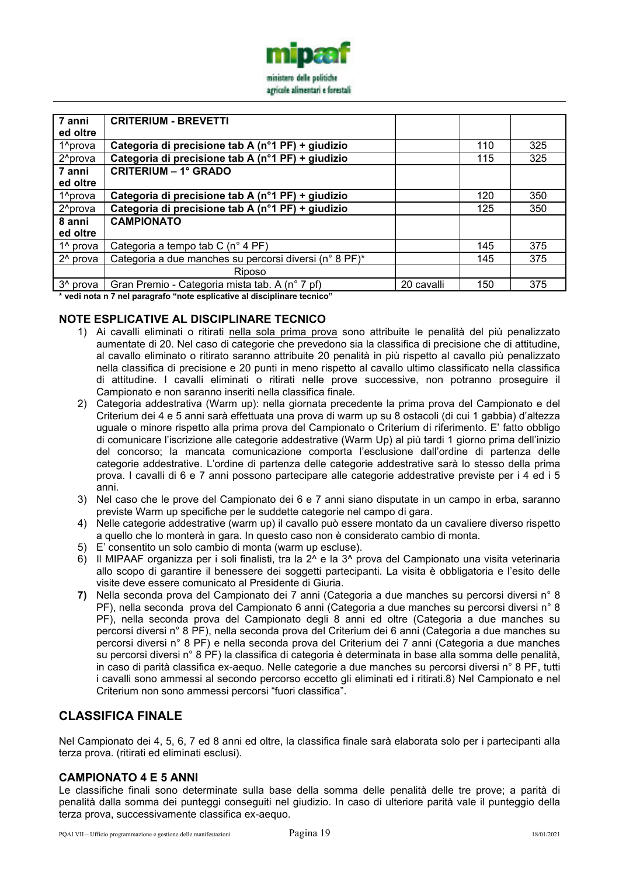

| 7 anni               | <b>CRITERIUM - BREVETTI</b>                            |            |     |     |
|----------------------|--------------------------------------------------------|------------|-----|-----|
| ed oltre             |                                                        |            |     |     |
| 1 <sup>^</sup> prova | Categoria di precisione tab A (n°1 PF) + giudizio      |            | 110 | 325 |
| 2 <sup>^</sup> prova | Categoria di precisione tab A (n°1 PF) + giudizio      |            | 115 | 325 |
| 7 anni               | <b>CRITERIUM - 1° GRADO</b>                            |            |     |     |
| ed oltre             |                                                        |            |     |     |
| 1 <sup>^</sup> prova | Categoria di precisione tab A (n°1 PF) + giudizio      |            | 120 | 350 |
| 2 <sup>^</sup> prova | Categoria di precisione tab A (n°1 PF) + giudizio      |            | 125 | 350 |
| 8 anni               | <b>CAMPIONATO</b>                                      |            |     |     |
| ed oltre             |                                                        |            |     |     |
| 1 <sup>^</sup> prova | Categoria a tempo tab C (n° 4 PF)                      |            | 145 | 375 |
| 2 <sup>^</sup> prova | Categoria a due manches su percorsi diversi (n° 8 PF)* |            | 145 | 375 |
|                      | Riposo                                                 |            |     |     |
| 3 <sup>^</sup> prova | Gran Premio - Categoria mista tab. A (n° 7 pf)         | 20 cavalli | 150 | 375 |
|                      | .                                                      |            |     |     |

**\* vedi nota n 7 nel paragrafo "note esplicative al disciplinare tecnico"** 

### **NOTE ESPLICATIVE AL DISCIPLINARE TECNICO**

- 1) Ai cavalli eliminati o ritirati nella sola prima prova sono attribuite le penalità del più penalizzato aumentate di 20. Nel caso di categorie che prevedono sia la classifica di precisione che di attitudine, al cavallo eliminato o ritirato saranno attribuite 20 penalità in più rispetto al cavallo più penalizzato nella classifica di precisione e 20 punti in meno rispetto al cavallo ultimo classificato nella classifica di attitudine. I cavalli eliminati o ritirati nelle prove successive, non potranno proseguire il Campionato e non saranno inseriti nella classifica finale.
- 2) Categoria addestrativa (Warm up): nella giornata precedente la prima prova del Campionato e del Criterium dei 4 e 5 anni sarà effettuata una prova di warm up su 8 ostacoli (di cui 1 gabbia) d'altezza uguale o minore rispetto alla prima prova del Campionato o Criterium di riferimento. E' fatto obbligo di comunicare l'iscrizione alle categorie addestrative (Warm Up) al più tardi 1 giorno prima dell'inizio del concorso; la mancata comunicazione comporta l'esclusione dall'ordine di partenza delle categorie addestrative. L'ordine di partenza delle categorie addestrative sarà lo stesso della prima prova. I cavalli di 6 e 7 anni possono partecipare alle categorie addestrative previste per i 4 ed i 5 anni.
- 3) Nel caso che le prove del Campionato dei 6 e 7 anni siano disputate in un campo in erba, saranno previste Warm up specifiche per le suddette categorie nel campo di gara.
- 4) Nelle categorie addestrative (warm up) il cavallo può essere montato da un cavaliere diverso rispetto a quello che lo monterà in gara. In questo caso non è considerato cambio di monta.
- 5) E' consentito un solo cambio di monta (warm up escluse).
- 6) Il MIPAAF organizza per i soli finalisti, tra la 2^ e la 3^ prova del Campionato una visita veterinaria allo scopo di garantire il benessere dei soggetti partecipanti. La visita è obbligatoria e l'esito delle visite deve essere comunicato al Presidente di Giuria.
- **7)** Nella seconda prova del Campionato dei 7 anni (Categoria a due manches su percorsi diversi n° 8 PF), nella seconda prova del Campionato 6 anni (Categoria a due manches su percorsi diversi n° 8 PF), nella seconda prova del Campionato degli 8 anni ed oltre (Categoria a due manches su percorsi diversi n° 8 PF), nella seconda prova del Criterium dei 6 anni (Categoria a due manches su percorsi diversi n° 8 PF) e nella seconda prova del Criterium dei 7 anni (Categoria a due manches su percorsi diversi n° 8 PF) la classifica di categoria è determinata in base alla somma delle penalità, in caso di parità classifica ex-aequo. Nelle categorie a due manches su percorsi diversi n° 8 PF, tutti i cavalli sono ammessi al secondo percorso eccetto gli eliminati ed i ritirati.8) Nel Campionato e nel Criterium non sono ammessi percorsi "fuori classifica".

# **CLASSIFICA FINALE**

Nel Campionato dei 4, 5, 6, 7 ed 8 anni ed oltre, la classifica finale sarà elaborata solo per i partecipanti alla terza prova. (ritirati ed eliminati esclusi).

#### **CAMPIONATO 4 E 5 ANNI**

Le classifiche finali sono determinate sulla base della somma delle penalità delle tre prove; a parità di penalità dalla somma dei punteggi conseguiti nel giudizio. In caso di ulteriore parità vale il punteggio della terza prova, successivamente classifica ex-aequo.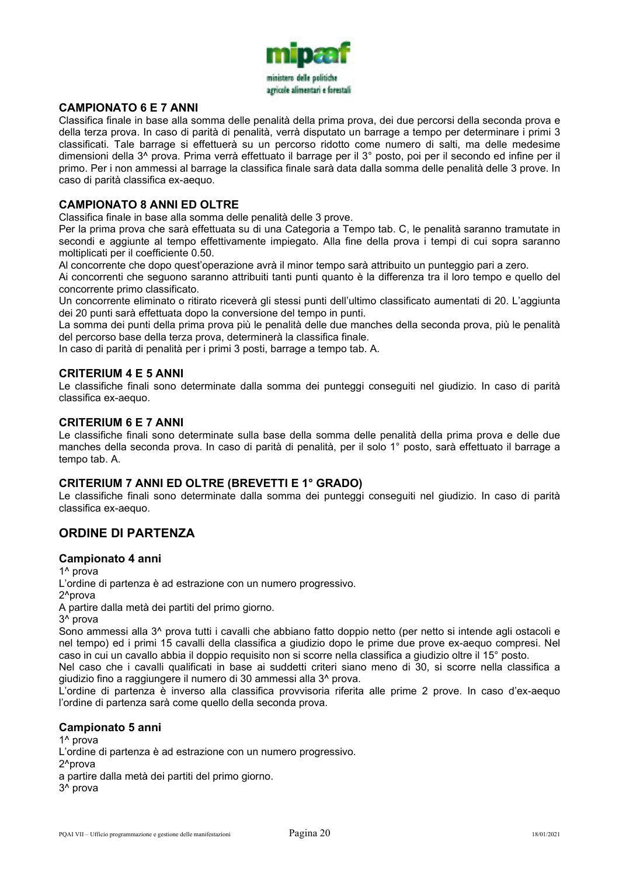

#### **CAMPIONATO 6 E 7 ANNI**

Classifica finale in base alla somma delle penalità della prima prova, dei due percorsi della seconda prova e della terza prova. In caso di parità di penalità, verrà disputato un barrage a tempo per determinare i primi 3 classificati. Tale barrage si effettuerà su un percorso ridotto come numero di salti, ma delle medesime dimensioni della 3^ prova. Prima verrà effettuato il barrage per il 3° posto, poi per il secondo ed infine per il primo. Per i non ammessi al barrage la classifica finale sarà data dalla somma delle penalità delle 3 prove. In caso di parità classifica ex-aequo.

#### **CAMPIONATO 8 ANNI ED OLTRE**

Classifica finale in base alla somma delle penalità delle 3 prove.

Per la prima prova che sarà effettuata su di una Categoria a Tempo tab. C, le penalità saranno tramutate in secondi e aggiunte al tempo effettivamente impiegato. Alla fine della prova i tempi di cui sopra saranno moltiplicati per il coefficiente 0.50.

Al concorrente che dopo quest'operazione avrà il minor tempo sarà attribuito un punteggio pari a zero.

Ai concorrenti che seguono saranno attribuiti tanti punti quanto è la differenza tra il loro tempo e quello del concorrente primo classificato.

Un concorrente eliminato o ritirato riceverà gli stessi punti dell'ultimo classificato aumentati di 20. L'aggiunta dei 20 punti sarà effettuata dopo la conversione del tempo in punti.

La somma dei punti della prima prova più le penalità delle due manches della seconda prova, più le penalità del percorso base della terza prova, determinerà la classifica finale.

In caso di parità di penalità per i primi 3 posti, barrage a tempo tab. A.

#### **CRITERIUM 4 E 5 ANNI**

Le classifiche finali sono determinate dalla somma dei punteggi conseguiti nel giudizio. In caso di parità classifica ex-aequo.

#### **CRITERIUM 6 E 7 ANNI**

Le classifiche finali sono determinate sulla base della somma delle penalità della prima prova e delle due manches della seconda prova. In caso di parità di penalità, per il solo 1° posto, sarà effettuato il barrage a tempo tab. A.

#### **CRITERIUM 7 ANNI ED OLTRE (BREVETTI E 1° GRADO)**

Le classifiche finali sono determinate dalla somma dei punteggi conseguiti nel giudizio. In caso di parità classifica ex-aequo.

### **ORDINE DI PARTENZA**

#### **Campionato 4 anni**

1^ prova

L'ordine di partenza è ad estrazione con un numero progressivo.

2^prova

A partire dalla metà dei partiti del primo giorno.

3^ prova

Sono ammessi alla 3<sup>^</sup> prova tutti i cavalli che abbiano fatto doppio netto (per netto si intende agli ostacoli e nel tempo) ed i primi 15 cavalli della classifica a giudizio dopo le prime due prove ex-aequo compresi. Nel caso in cui un cavallo abbia il doppio requisito non si scorre nella classifica a giudizio oltre il 15° posto.

Nel caso che i cavalli qualificati in base ai suddetti criteri siano meno di 30, si scorre nella classifica a giudizio fino a raggiungere il numero di 30 ammessi alla 3^ prova.

L'ordine di partenza è inverso alla classifica provvisoria riferita alle prime 2 prove. In caso d'ex-aequo l'ordine di partenza sarà come quello della seconda prova.

#### **Campionato 5 anni**

1^ prova L'ordine di partenza è ad estrazione con un numero progressivo. 2^prova a partire dalla metà dei partiti del primo giorno. 3^ prova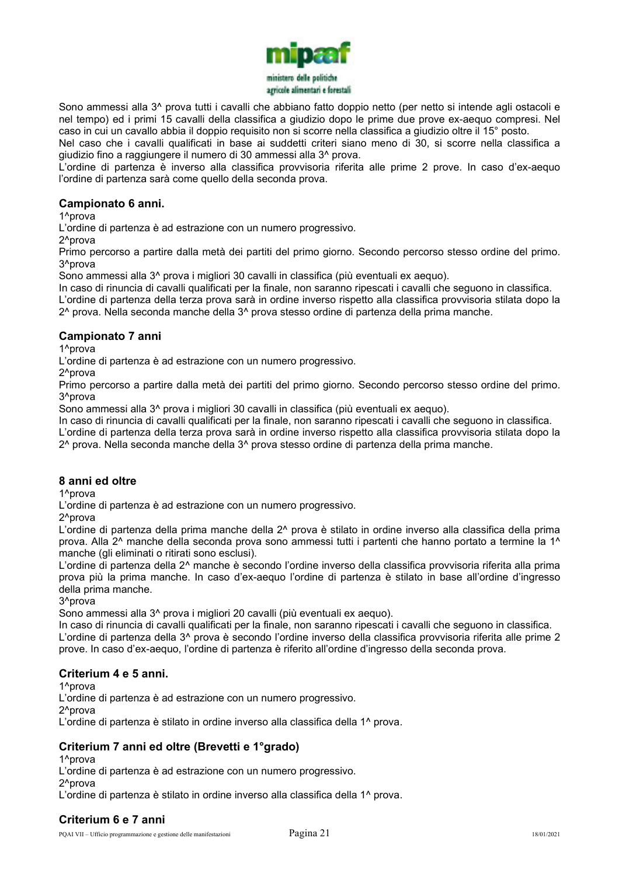

Sono ammessi alla 3<sup>^</sup> prova tutti i cavalli che abbiano fatto doppio netto (per netto si intende agli ostacoli e nel tempo) ed i primi 15 cavalli della classifica a giudizio dopo le prime due prove ex-aequo compresi. Nel caso in cui un cavallo abbia il doppio requisito non si scorre nella classifica a giudizio oltre il 15° posto.

Nel caso che i cavalli qualificati in base ai suddetti criteri siano meno di 30, si scorre nella classifica a giudizio fino a raggiungere il numero di 30 ammessi alla 3^ prova.

L'ordine di partenza è inverso alla classifica provvisoria riferita alle prime 2 prove. In caso d'ex-aequo l'ordine di partenza sarà come quello della seconda prova.

#### **Campionato 6 anni.**

1^prova

L'ordine di partenza è ad estrazione con un numero progressivo.

2^prova

Primo percorso a partire dalla metà dei partiti del primo giorno. Secondo percorso stesso ordine del primo. 3^prova

Sono ammessi alla 3^ prova i migliori 30 cavalli in classifica (più eventuali ex aequo).

In caso di rinuncia di cavalli qualificati per la finale, non saranno ripescati i cavalli che seguono in classifica. L'ordine di partenza della terza prova sarà in ordine inverso rispetto alla classifica provvisoria stilata dopo la 2^ prova. Nella seconda manche della 3^ prova stesso ordine di partenza della prima manche.

#### **Campionato 7 anni**

1^prova

L'ordine di partenza è ad estrazione con un numero progressivo.

2^prova

Primo percorso a partire dalla metà dei partiti del primo giorno. Secondo percorso stesso ordine del primo. 3^prova

Sono ammessi alla 3^ prova i migliori 30 cavalli in classifica (più eventuali ex aequo).

In caso di rinuncia di cavalli qualificati per la finale, non saranno ripescati i cavalli che seguono in classifica. L'ordine di partenza della terza prova sarà in ordine inverso rispetto alla classifica provvisoria stilata dopo la

2^ prova. Nella seconda manche della 3^ prova stesso ordine di partenza della prima manche.

#### **8 anni ed oltre**

1^prova

L'ordine di partenza è ad estrazione con un numero progressivo.

2^prova

L'ordine di partenza della prima manche della 2^ prova è stilato in ordine inverso alla classifica della prima prova. Alla 2^ manche della seconda prova sono ammessi tutti i partenti che hanno portato a termine la 1^ manche (gli eliminati o ritirati sono esclusi).

L'ordine di partenza della 2^ manche è secondo l'ordine inverso della classifica provvisoria riferita alla prima prova più la prima manche. In caso d'ex-aequo l'ordine di partenza è stilato in base all'ordine d'ingresso della prima manche.

3^prova

Sono ammessi alla 3^ prova i migliori 20 cavalli (più eventuali ex aequo).

In caso di rinuncia di cavalli qualificati per la finale, non saranno ripescati i cavalli che seguono in classifica. L'ordine di partenza della 3^ prova è secondo l'ordine inverso della classifica provvisoria riferita alle prime 2 prove. In caso d'ex-aequo, l'ordine di partenza è riferito all'ordine d'ingresso della seconda prova.

#### **Criterium 4 e 5 anni.**

1<sup>^</sup>prova

L'ordine di partenza è ad estrazione con un numero progressivo.

2^prova

L'ordine di partenza è stilato in ordine inverso alla classifica della 1^ prova.

### **Criterium 7 anni ed oltre (Brevetti e 1°grado)**

1^prova

L'ordine di partenza è ad estrazione con un numero progressivo.

2^prova

L'ordine di partenza è stilato in ordine inverso alla classifica della 1^ prova.

### **Criterium 6 e 7 anni**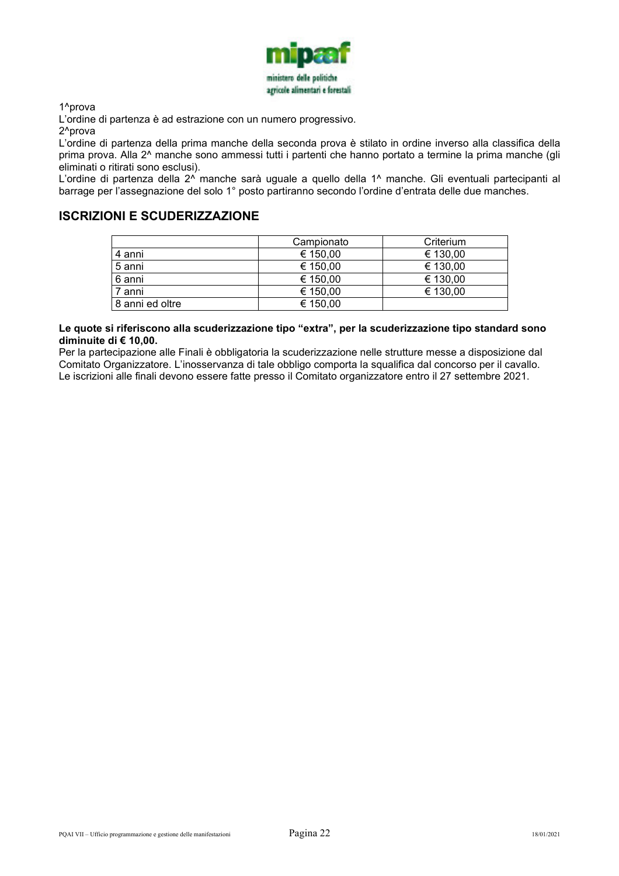

1^prova

L'ordine di partenza è ad estrazione con un numero progressivo.

2^prova

L'ordine di partenza della prima manche della seconda prova è stilato in ordine inverso alla classifica della prima prova. Alla 2^ manche sono ammessi tutti i partenti che hanno portato a termine la prima manche (gli eliminati o ritirati sono esclusi).

L'ordine di partenza della 2<sup>^</sup> manche sarà uguale a quello della 1<sup>^</sup> manche. Gli eventuali partecipanti al barrage per l'assegnazione del solo 1° posto partiranno secondo l'ordine d'entrata delle due manches.

# **ISCRIZIONI E SCUDERIZZAZIONE**

|                 | Campionato | Criterium |
|-----------------|------------|-----------|
| 4 anni          | € 150,00   | € 130,00  |
| 5 anni          | € 150,00   | € 130,00  |
| 6 anni          | € 150,00   | € 130,00  |
| 7 anni          | € 150.00   | € 130,00  |
| 8 anni ed oltre | € 150,00   |           |

**Le quote si riferiscono alla scuderizzazione tipo "extra", per la scuderizzazione tipo standard sono diminuite di € 10,00.** 

Per la partecipazione alle Finali è obbligatoria la scuderizzazione nelle strutture messe a disposizione dal Comitato Organizzatore. L'inosservanza di tale obbligo comporta la squalifica dal concorso per il cavallo. Le iscrizioni alle finali devono essere fatte presso il Comitato organizzatore entro il 27 settembre 2021.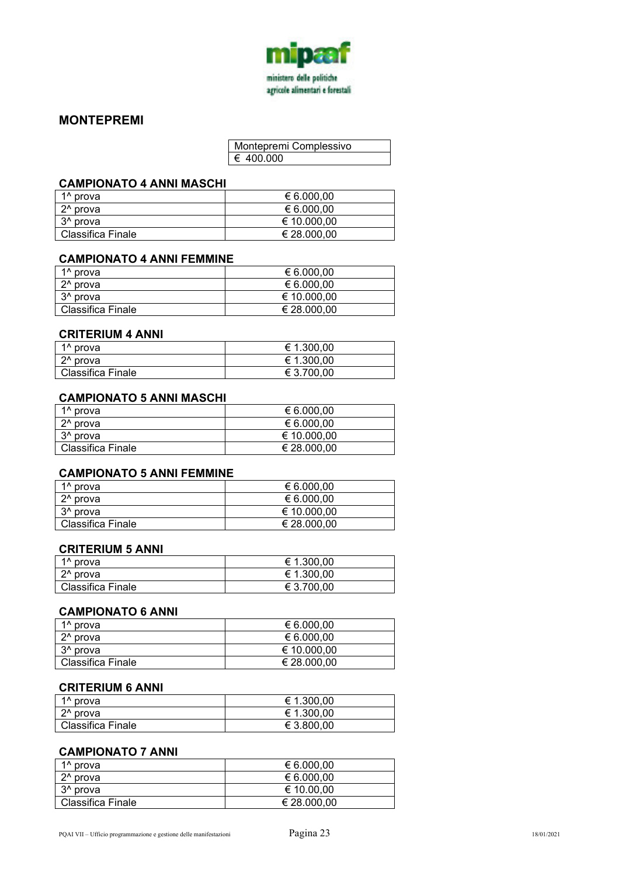

### **MONTEPREMI**

| Montepremi Complessivo |
|------------------------|
| € 400.000              |

#### **CAMPIONATO 4 ANNI MASCHI**

| $1^$ prova           | € 6.000,00  |
|----------------------|-------------|
| $2^{\wedge}$ prova   | € 6.000,00  |
| 3 <sup>^</sup> prova | € 10.000.00 |
| Classifica Finale    | € 28.000,00 |

#### **CAMPIONATO 4 ANNI FEMMINE**

| 1 <sup>^</sup> prova     | € 6.000,00  |
|--------------------------|-------------|
| 2 <sup>^</sup> prova     | € 6.000,00  |
| 3 <sup>^</sup> prova     | € 10.000.00 |
| <b>Classifica Finale</b> | € 28.000.00 |

#### **CRITERIUM 4 ANNI**

| 1 <sup>^</sup> prova     | € 1.300.00 |
|--------------------------|------------|
| $2^{\wedge}$ prova       | € 1.300,00 |
| <b>Classifica Finale</b> | € 3.700.00 |

#### **CAMPIONATO 5 ANNI MASCHI**

| 1 <sup>^</sup> prova | € 6.000,00  |
|----------------------|-------------|
| $2^{\wedge}$ prova   | € 6.000.00  |
| 3 <sup>^</sup> prova | € 10.000,00 |
| Classifica Finale    | € 28.000,00 |

# **CAMPIONATO 5 ANNI FEMMINE**

| 1 <sup>^</sup> prova     | € 6.000,00  |
|--------------------------|-------------|
| 2 <sup>^</sup> prova     | € 6.000,00  |
| 3 <sup>^</sup> prova     | € 10.000,00 |
| <b>Classifica Finale</b> | € 28.000,00 |

#### **CRITERIUM 5 ANNI**

| 1 <sup>^</sup> prova | € 1.300,00 |
|----------------------|------------|
| 2 <sup>^</sup> prova | € 1.300,00 |
| Classifica Finale    | € 3.700.00 |

#### **CAMPIONATO 6 ANNI**

| 1 <sup>^</sup> prova     | € 6.000,00  |
|--------------------------|-------------|
| 2 <sup>^</sup> prova     | € 6.000,00  |
| 3 <sup>^</sup> prova     | € 10.000,00 |
| <b>Classifica Finale</b> | € 28.000,00 |

#### **CRITERIUM 6 ANNI**

| 1^ prova                 | € 1.300,00 |
|--------------------------|------------|
| $2^{\wedge}$ prova       | € 1.300,00 |
| <b>Classifica Finale</b> | € 3.800,00 |

#### **CAMPIONATO 7 ANNI**

| 1 <sup>^</sup> prova | € 6.000,00  |
|----------------------|-------------|
| 2 <sup>^</sup> prova | € 6.000.00  |
| 3 <sup>^</sup> prova | € 10.00.00  |
| Classifica Finale    | € 28.000.00 |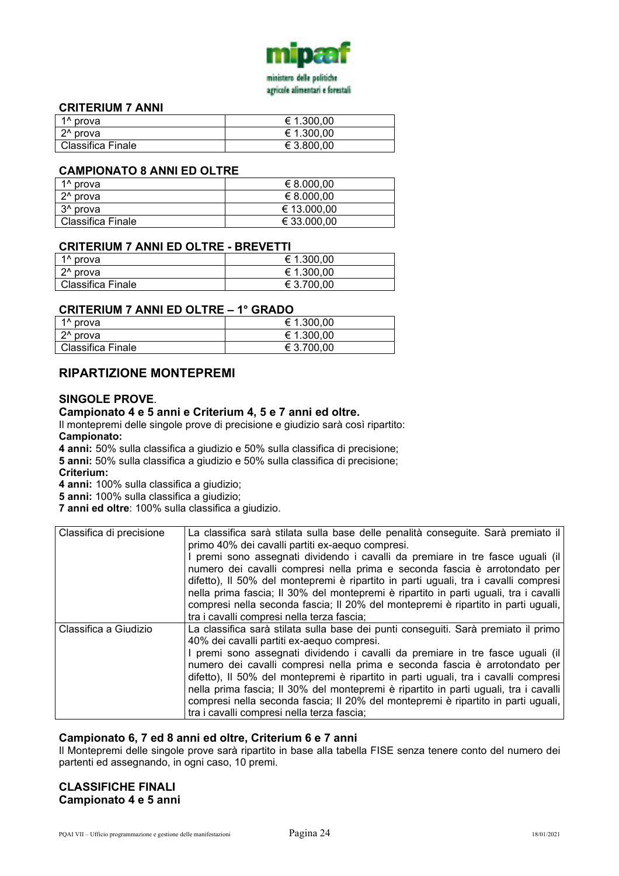

#### **CRITERIUM 7 ANNI**

| 1 <sup>^</sup> prova | € 1.300,00 |
|----------------------|------------|
| 2 <sup>^</sup> prova | € 1.300,00 |
| Classifica Finale    | € 3.800,00 |

#### **CAMPIONATO 8 ANNI ED OLTRE**

| 1 <sup>^</sup> prova     | € 8.000,00  |
|--------------------------|-------------|
| $2^{\wedge}$ prova       | € 8.000.00  |
| 3 <sup>^</sup> prova     | € 13.000,00 |
| <b>Classifica Finale</b> | € 33.000,00 |

#### **CRITERIUM 7 ANNI ED OLTRE - BREVETTI**

| 1 <sup>^</sup> prova | € 1.300,00 |
|----------------------|------------|
| 2 <sup>^</sup> prova | € 1.300,00 |
| Classifica Finale    | € 3.700.00 |

#### **CRITERIUM 7 ANNI ED OLTRE – 1° GRADO**

| 1 <sup>^</sup> prova     | € 1.300,00 |
|--------------------------|------------|
| 2 <sup>^</sup> prova     | € 1.300,00 |
| <b>Classifica Finale</b> | € 3.700.00 |

### **RIPARTIZIONE MONTEPREMI**

#### **SINGOLE PROVE**.

#### **Campionato 4 e 5 anni e Criterium 4, 5 e 7 anni ed oltre.**

Il montepremi delle singole prove di precisione e giudizio sarà così ripartito: **Campionato:** 

**4 anni:** 50% sulla classifica a giudizio e 50% sulla classifica di precisione;

**5 anni:** 50% sulla classifica a giudizio e 50% sulla classifica di precisione;

**Criterium:** 

**4 anni:** 100% sulla classifica a giudizio;

**5 anni:** 100% sulla classifica a giudizio;

**7 anni ed oltre**: 100% sulla classifica a giudizio.

| Classifica di precisione | La classifica sarà stilata sulla base delle penalità conseguite. Sarà premiato il<br>primo 40% dei cavalli partiti ex-aequo compresi.<br>I premi sono assegnati dividendo i cavalli da premiare in tre fasce uguali (il<br>numero dei cavalli compresi nella prima e seconda fascia è arrotondato per<br>difetto), Il 50% del montepremi è ripartito in parti uguali, tra i cavalli compresi<br>nella prima fascia; Il 30% del montepremi è ripartito in parti uguali, tra i cavalli<br>compresi nella seconda fascia; Il 20% del montepremi è ripartito in parti uguali,<br>tra i cavalli compresi nella terza fascia; |
|--------------------------|-------------------------------------------------------------------------------------------------------------------------------------------------------------------------------------------------------------------------------------------------------------------------------------------------------------------------------------------------------------------------------------------------------------------------------------------------------------------------------------------------------------------------------------------------------------------------------------------------------------------------|
| Classifica a Giudizio    | La classifica sarà stilata sulla base dei punti conseguiti. Sarà premiato il primo<br>40% dei cavalli partiti ex-aequo compresi.<br>I premi sono assegnati dividendo i cavalli da premiare in tre fasce uguali (il<br>numero dei cavalli compresi nella prima e seconda fascia è arrotondato per<br>difetto), Il 50% del montepremi è ripartito in parti uguali, tra i cavalli compresi<br>nella prima fascia; Il 30% del montepremi è ripartito in parti uguali, tra i cavalli<br>compresi nella seconda fascia; Il 20% del montepremi è ripartito in parti uguali,<br>tra i cavalli compresi nella terza fascia;      |

#### **Campionato 6, 7 ed 8 anni ed oltre, Criterium 6 e 7 anni**

Il Montepremi delle singole prove sarà ripartito in base alla tabella FISE senza tenere conto del numero dei partenti ed assegnando, in ogni caso, 10 premi.

#### **CLASSIFICHE FINALI Campionato 4 e 5 anni**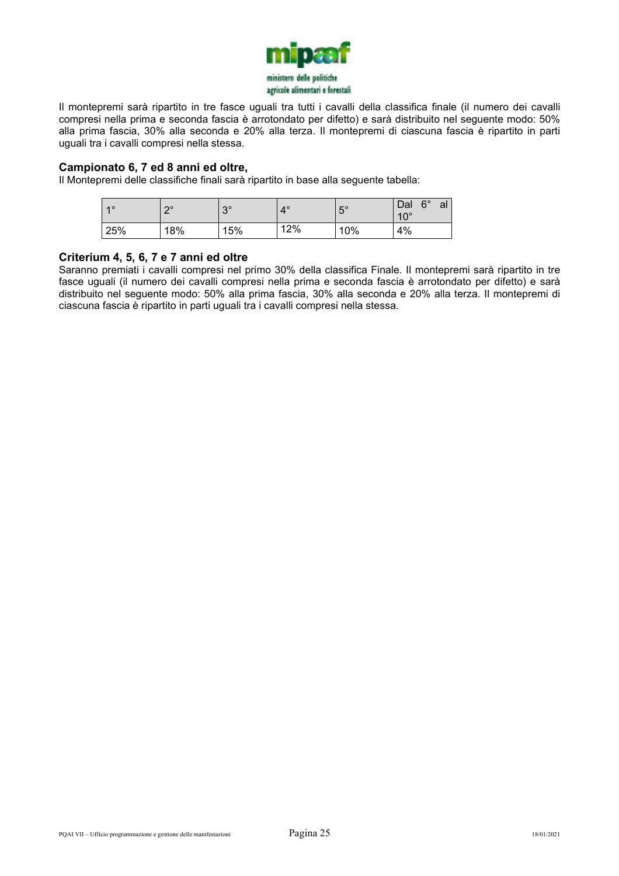

Il montepremi sarà ripartito in tre fasce uguali tra tutti i cavalli della classifica finale (il numero dei cavalli compresi nella prima e seconda fascia è arrotondato per difetto) e sarà distribuito nel seguente modo: 50% alla prima fascia, 30% alla seconda e 20% alla terza. Il montepremi di ciascuna fascia è ripartito in parti uguali tra i cavalli compresi nella stessa.

#### **Campionato 6, 7 ed 8 anni ed oltre,**

Il Montepremi delle classifiche finali sarà ripartito in base alla seguente tabella:

| $\overline{4}$ $\overline{0}$ | no  | $2^{\circ}$<br>J | $4^\circ$ | $F^{\circ}$<br>J | $6^{\circ}$<br>Dal<br>al<br>$10^{\circ}$ |
|-------------------------------|-----|------------------|-----------|------------------|------------------------------------------|
| 25%                           | 18% | 15%              | 12%       | 10%              | 4%                                       |

#### **Criterium 4, 5, 6, 7 e 7 anni ed oltre**

Saranno premiati i cavalli compresi nel primo 30% della classifica Finale. Il montepremi sarà ripartito in tre fasce uguali (il numero dei cavalli compresi nella prima e seconda fascia è arrotondato per difetto) e sarà distribuito nel seguente modo: 50% alla prima fascia, 30% alla seconda e 20% alla terza. Il montepremi di ciascuna fascia è ripartito in parti uguali tra i cavalli compresi nella stessa.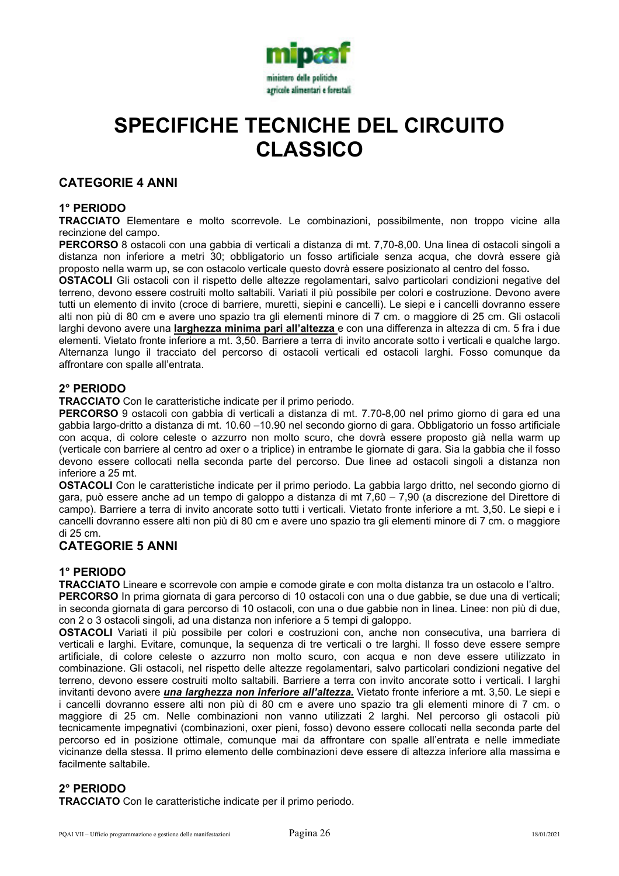

# **SPECIFICHE TECNICHE DEL CIRCUITO CLASSICO**

#### **CATEGORIE 4 ANNI**

#### **1° PERIODO**

**TRACCIATO** Elementare e molto scorrevole. Le combinazioni, possibilmente, non troppo vicine alla recinzione del campo.

**PERCORSO** 8 ostacoli con una gabbia di verticali a distanza di mt. 7,70-8,00. Una linea di ostacoli singoli a distanza non inferiore a metri 30; obbligatorio un fosso artificiale senza acqua, che dovrà essere già proposto nella warm up, se con ostacolo verticale questo dovrà essere posizionato al centro del fosso**.** 

**OSTACOLI** Gli ostacoli con il rispetto delle altezze regolamentari, salvo particolari condizioni negative del terreno, devono essere costruiti molto saltabili. Variati il più possibile per colori e costruzione. Devono avere tutti un elemento di invito (croce di barriere, muretti, siepini e cancelli). Le siepi e i cancelli dovranno essere alti non più di 80 cm e avere uno spazio tra gli elementi minore di 7 cm. o maggiore di 25 cm. Gli ostacoli larghi devono avere una **larghezza minima pari all'altezza** e con una differenza in altezza di cm. 5 fra i due elementi. Vietato fronte inferiore a mt. 3,50. Barriere a terra di invito ancorate sotto i verticali e qualche largo. Alternanza lungo il tracciato del percorso di ostacoli verticali ed ostacoli larghi. Fosso comunque da affrontare con spalle all'entrata.

#### **2° PERIODO**

**TRACCIATO** Con le caratteristiche indicate per il primo periodo.

**PERCORSO** 9 ostacoli con gabbia di verticali a distanza di mt. 7.70-8,00 nel primo giorno di gara ed una gabbia largo-dritto a distanza di mt. 10.60 –10.90 nel secondo giorno di gara. Obbligatorio un fosso artificiale con acqua, di colore celeste o azzurro non molto scuro, che dovrà essere proposto già nella warm up (verticale con barriere al centro ad oxer o a triplice) in entrambe le giornate di gara. Sia la gabbia che il fosso devono essere collocati nella seconda parte del percorso. Due linee ad ostacoli singoli a distanza non inferiore a 25 mt.

**OSTACOLI** Con le caratteristiche indicate per il primo periodo. La gabbia largo dritto, nel secondo giorno di gara, può essere anche ad un tempo di galoppo a distanza di mt 7,60 – 7,90 (a discrezione del Direttore di campo). Barriere a terra di invito ancorate sotto tutti i verticali. Vietato fronte inferiore a mt. 3,50. Le siepi e i cancelli dovranno essere alti non più di 80 cm e avere uno spazio tra gli elementi minore di 7 cm. o maggiore di 25 cm.

#### **CATEGORIE 5 ANNI**

#### **1° PERIODO**

**TRACCIATO** Lineare e scorrevole con ampie e comode girate e con molta distanza tra un ostacolo e l'altro.

**PERCORSO** In prima giornata di gara percorso di 10 ostacoli con una o due gabbie, se due una di verticali; in seconda giornata di gara percorso di 10 ostacoli, con una o due gabbie non in linea. Linee: non più di due, con 2 o 3 ostacoli singoli, ad una distanza non inferiore a 5 tempi di galoppo.

**OSTACOLI** Variati il più possibile per colori e costruzioni con, anche non consecutiva, una barriera di verticali e larghi. Evitare, comunque, la sequenza di tre verticali o tre larghi. Il fosso deve essere sempre artificiale, di colore celeste o azzurro non molto scuro, con acqua e non deve essere utilizzato in combinazione. Gli ostacoli, nel rispetto delle altezze regolamentari, salvo particolari condizioni negative del terreno, devono essere costruiti molto saltabili. Barriere a terra con invito ancorate sotto i verticali. I larghi invitanti devono avere *una larghezza non inferiore all'altezza.* Vietato fronte inferiore a mt. 3,50. Le siepi e i cancelli dovranno essere alti non più di 80 cm e avere uno spazio tra gli elementi minore di 7 cm. o maggiore di 25 cm. Nelle combinazioni non vanno utilizzati 2 larghi. Nel percorso gli ostacoli più tecnicamente impegnativi (combinazioni, oxer pieni, fosso) devono essere collocati nella seconda parte del percorso ed in posizione ottimale, comunque mai da affrontare con spalle all'entrata e nelle immediate vicinanze della stessa. Il primo elemento delle combinazioni deve essere di altezza inferiore alla massima e facilmente saltabile.

### **2° PERIODO**

**TRACCIATO** Con le caratteristiche indicate per il primo periodo.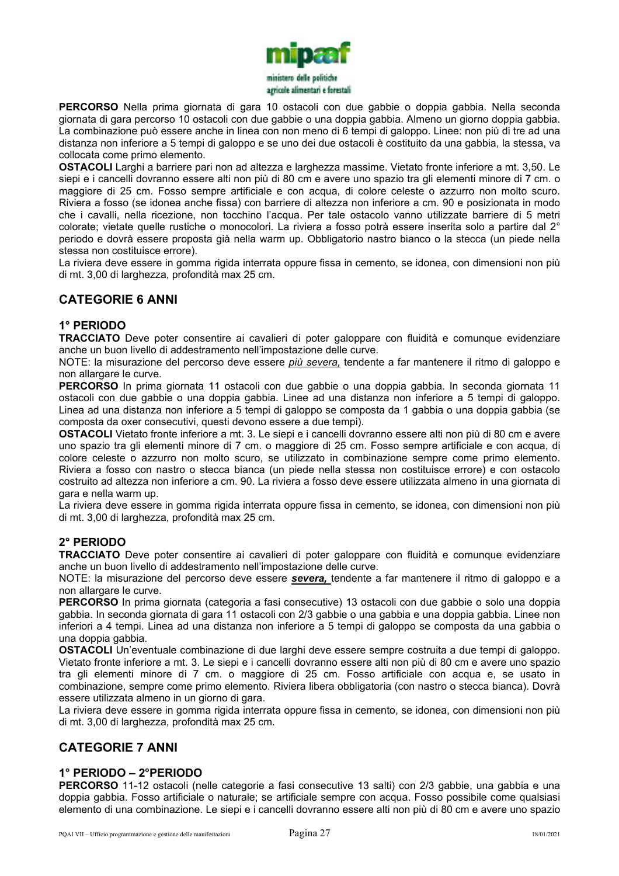

**PERCORSO** Nella prima giornata di gara 10 ostacoli con due gabbie o doppia gabbia. Nella seconda giornata di gara percorso 10 ostacoli con due gabbie o una doppia gabbia. Almeno un giorno doppia gabbia. La combinazione può essere anche in linea con non meno di 6 tempi di galoppo. Linee: non più di tre ad una distanza non inferiore a 5 tempi di galoppo e se uno dei due ostacoli è costituito da una gabbia, la stessa, va collocata come primo elemento.

**OSTACOLI** Larghi a barriere pari non ad altezza e larghezza massime. Vietato fronte inferiore a mt. 3,50. Le siepi e i cancelli dovranno essere alti non più di 80 cm e avere uno spazio tra gli elementi minore di 7 cm. o maggiore di 25 cm. Fosso sempre artificiale e con acqua, di colore celeste o azzurro non molto scuro. Riviera a fosso (se idonea anche fissa) con barriere di altezza non inferiore a cm. 90 e posizionata in modo che i cavalli, nella ricezione, non tocchino l'acqua. Per tale ostacolo vanno utilizzate barriere di 5 metri colorate; vietate quelle rustiche o monocolori. La riviera a fosso potrà essere inserita solo a partire dal 2° periodo e dovrà essere proposta già nella warm up. Obbligatorio nastro bianco o la stecca (un piede nella stessa non costituisce errore).

La riviera deve essere in gomma rigida interrata oppure fissa in cemento, se idonea, con dimensioni non più di mt. 3,00 di larghezza, profondità max 25 cm.

# **CATEGORIE 6 ANNI**

#### **1° PERIODO**

**TRACCIATO** Deve poter consentire ai cavalieri di poter galoppare con fluidità e comunque evidenziare anche un buon livello di addestramento nell'impostazione delle curve.

NOTE: la misurazione del percorso deve essere *più severa,* tendente a far mantenere il ritmo di galoppo e non allargare le curve.

**PERCORSO** In prima giornata 11 ostacoli con due gabbie o una doppia gabbia. In seconda giornata 11 ostacoli con due gabbie o una doppia gabbia. Linee ad una distanza non inferiore a 5 tempi di galoppo. Linea ad una distanza non inferiore a 5 tempi di galoppo se composta da 1 gabbia o una doppia gabbia (se composta da oxer consecutivi, questi devono essere a due tempi).

**OSTACOLI** Vietato fronte inferiore a mt. 3. Le siepi e i cancelli dovranno essere alti non più di 80 cm e avere uno spazio tra gli elementi minore di 7 cm. o maggiore di 25 cm. Fosso sempre artificiale e con acqua, di colore celeste o azzurro non molto scuro, se utilizzato in combinazione sempre come primo elemento. Riviera a fosso con nastro o stecca bianca (un piede nella stessa non costituisce errore) e con ostacolo costruito ad altezza non inferiore a cm. 90. La riviera a fosso deve essere utilizzata almeno in una giornata di gara e nella warm up.

La riviera deve essere in gomma rigida interrata oppure fissa in cemento, se idonea, con dimensioni non più di mt. 3,00 di larghezza, profondità max 25 cm.

#### **2° PERIODO**

**TRACCIATO** Deve poter consentire ai cavalieri di poter galoppare con fluidità e comunque evidenziare anche un buon livello di addestramento nell'impostazione delle curve.

NOTE: la misurazione del percorso deve essere *severa,* tendente a far mantenere il ritmo di galoppo e a non allargare le curve.

**PERCORSO** In prima giornata (categoria a fasi consecutive) 13 ostacoli con due gabbie o solo una doppia gabbia. In seconda giornata di gara 11 ostacoli con 2/3 gabbie o una gabbia e una doppia gabbia. Linee non inferiori a 4 tempi. Linea ad una distanza non inferiore a 5 tempi di galoppo se composta da una gabbia o una doppia gabbia.

**OSTACOLI** Un'eventuale combinazione di due larghi deve essere sempre costruita a due tempi di galoppo. Vietato fronte inferiore a mt. 3. Le siepi e i cancelli dovranno essere alti non più di 80 cm e avere uno spazio tra gli elementi minore di 7 cm. o maggiore di 25 cm. Fosso artificiale con acqua e, se usato in combinazione, sempre come primo elemento. Riviera libera obbligatoria (con nastro o stecca bianca). Dovrà essere utilizzata almeno in un giorno di gara.

La riviera deve essere in gomma rigida interrata oppure fissa in cemento, se idonea, con dimensioni non più di mt. 3,00 di larghezza, profondità max 25 cm.

### **CATEGORIE 7 ANNI**

#### **1° PERIODO – 2°PERIODO**

**PERCORSO** 11-12 ostacoli (nelle categorie a fasi consecutive 13 salti) con 2/3 gabbie, una gabbia e una doppia gabbia. Fosso artificiale o naturale; se artificiale sempre con acqua. Fosso possibile come qualsiasi elemento di una combinazione. Le siepi e i cancelli dovranno essere alti non più di 80 cm e avere uno spazio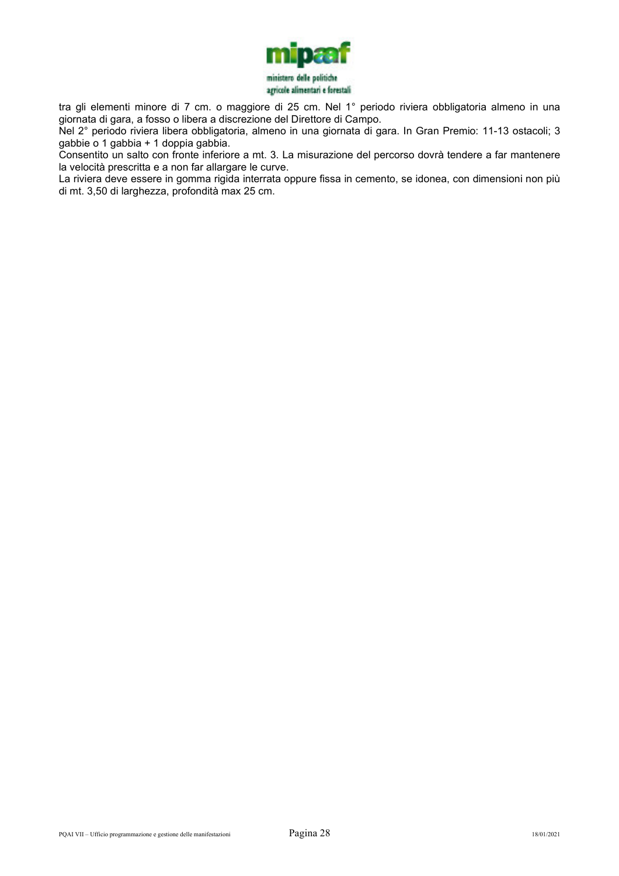

tra gli elementi minore di 7 cm. o maggiore di 25 cm. Nel 1° periodo riviera obbligatoria almeno in una giornata di gara, a fosso o libera a discrezione del Direttore di Campo.

Nel 2° periodo riviera libera obbligatoria, almeno in una giornata di gara. In Gran Premio: 11-13 ostacoli; 3 gabbie o 1 gabbia + 1 doppia gabbia.

Consentito un salto con fronte inferiore a mt. 3. La misurazione del percorso dovrà tendere a far mantenere la velocità prescritta e a non far allargare le curve.

La riviera deve essere in gomma rigida interrata oppure fissa in cemento, se idonea, con dimensioni non più di mt. 3,50 di larghezza, profondità max 25 cm.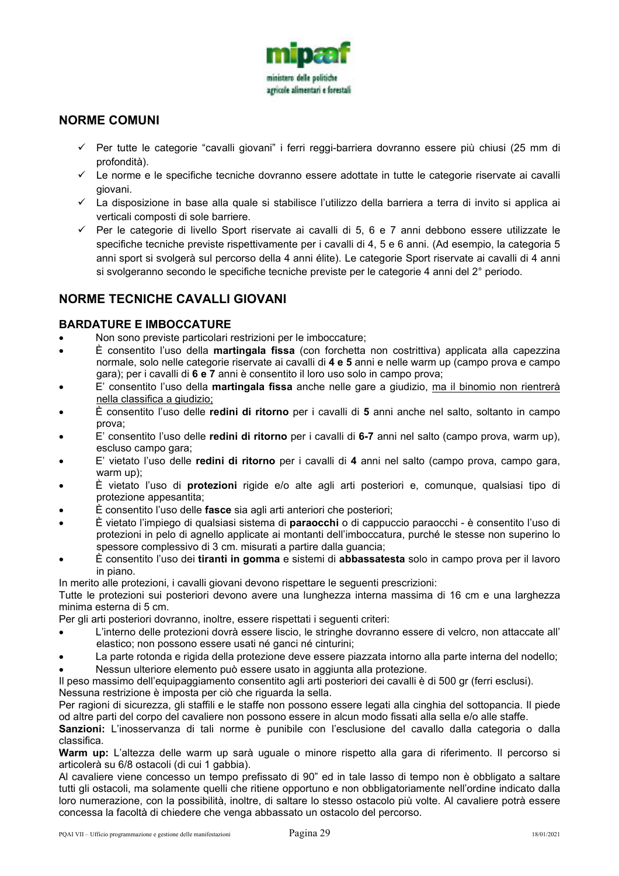

### **NORME COMUNI**

- Per tutte le categorie "cavalli giovani" i ferri reggi-barriera dovranno essere più chiusi (25 mm di profondità).
- Le norme e le specifiche tecniche dovranno essere adottate in tutte le categorie riservate ai cavalli giovani.
- La disposizione in base alla quale si stabilisce l'utilizzo della barriera a terra di invito si applica ai verticali composti di sole barriere.
- $\checkmark$  Per le categorie di livello Sport riservate ai cavalli di 5, 6 e 7 anni debbono essere utilizzate le specifiche tecniche previste rispettivamente per i cavalli di 4, 5 e 6 anni. (Ad esempio, la categoria 5 anni sport si svolgerà sul percorso della 4 anni élite). Le categorie Sport riservate ai cavalli di 4 anni si svolgeranno secondo le specifiche tecniche previste per le categorie 4 anni del 2° periodo.

# **NORME TECNICHE CAVALLI GIOVANI**

#### **BARDATURE E IMBOCCATURE**

- Non sono previste particolari restrizioni per le imboccature;
- È consentito l'uso della **martingala fissa** (con forchetta non costrittiva) applicata alla capezzina normale, solo nelle categorie riservate ai cavalli di **4 e 5** anni e nelle warm up (campo prova e campo gara); per i cavalli di **6 e 7** anni è consentito il loro uso solo in campo prova;
- E' consentito l'uso della **martingala fissa** anche nelle gare a giudizio, ma il binomio non rientrerà nella classifica a giudizio;
- È consentito l'uso delle **redini di ritorno** per i cavalli di **5** anni anche nel salto, soltanto in campo prova;
- E' consentito l'uso delle **redini di ritorno** per i cavalli di **6-7** anni nel salto (campo prova, warm up), escluso campo gara;
- E' vietato l'uso delle **redini di ritorno** per i cavalli di **4** anni nel salto (campo prova, campo gara, warm up);
- È vietato l'uso di **protezioni** rigide e/o alte agli arti posteriori e, comunque, qualsiasi tipo di protezione appesantita;
- È consentito l'uso delle **fasce** sia agli arti anteriori che posteriori;
- È vietato l'impiego di qualsiasi sistema di **paraocchi** o di cappuccio paraocchi è consentito l'uso di protezioni in pelo di agnello applicate ai montanti dell'imboccatura, purché le stesse non superino lo spessore complessivo di 3 cm. misurati a partire dalla guancia;
- È consentito l'uso dei **tiranti in gomma** e sistemi di **abbassatesta** solo in campo prova per il lavoro in piano.

In merito alle protezioni, i cavalli giovani devono rispettare le seguenti prescrizioni:

Tutte le protezioni sui posteriori devono avere una lunghezza interna massima di 16 cm e una larghezza minima esterna di 5 cm.

Per gli arti posteriori dovranno, inoltre, essere rispettati i seguenti criteri:

- L'interno delle protezioni dovrà essere liscio, le stringhe dovranno essere di velcro, non attaccate all' elastico; non possono essere usati né ganci né cinturini;
- La parte rotonda e rigida della protezione deve essere piazzata intorno alla parte interna del nodello;
- Nessun ulteriore elemento può essere usato in aggiunta alla protezione.

Il peso massimo dell'equipaggiamento consentito agli arti posteriori dei cavalli è di 500 gr (ferri esclusi). Nessuna restrizione è imposta per ciò che riguarda la sella.

Per ragioni di sicurezza, gli staffili e le staffe non possono essere legati alla cinghia del sottopancia. Il piede od altre parti del corpo del cavaliere non possono essere in alcun modo fissati alla sella e/o alle staffe.

Sanzioni: L'inosservanza di tali norme è punibile con l'esclusione del cavallo dalla categoria o dalla classifica.

**Warm up:** L'altezza delle warm up sarà uguale o minore rispetto alla gara di riferimento. Il percorso si articolerà su 6/8 ostacoli (di cui 1 gabbia).

Al cavaliere viene concesso un tempo prefissato di 90" ed in tale lasso di tempo non è obbligato a saltare tutti gli ostacoli, ma solamente quelli che ritiene opportuno e non obbligatoriamente nell'ordine indicato dalla loro numerazione, con la possibilità, inoltre, di saltare lo stesso ostacolo più volte. Al cavaliere potrà essere concessa la facoltà di chiedere che venga abbassato un ostacolo del percorso.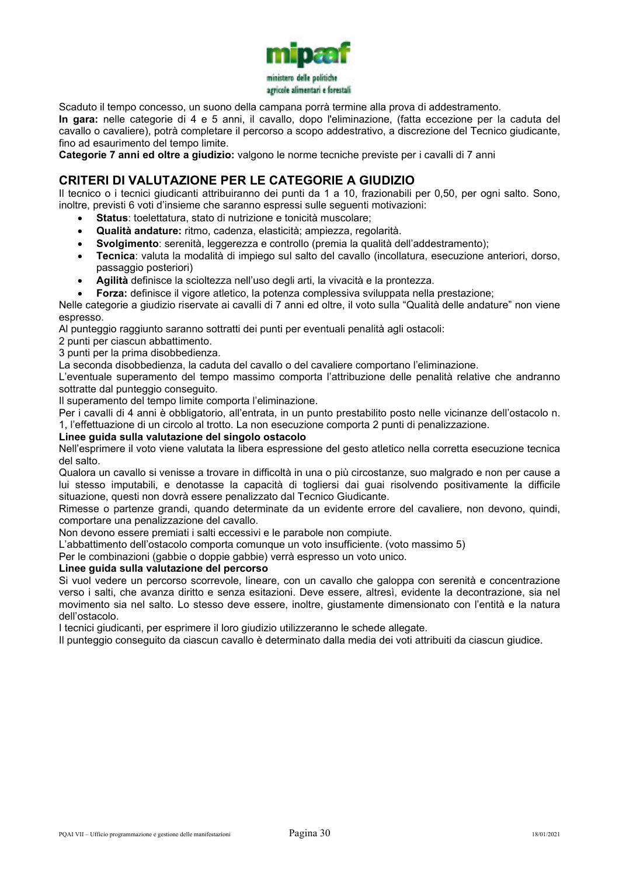

Scaduto il tempo concesso, un suono della campana porrà termine alla prova di addestramento.

**In gara:** nelle categorie di 4 e 5 anni, il cavallo, dopo l'eliminazione, (fatta eccezione per la caduta del cavallo o cavaliere), potrà completare il percorso a scopo addestrativo, a discrezione del Tecnico giudicante, fino ad esaurimento del tempo limite.

**Categorie 7 anni ed oltre a giudizio:** valgono le norme tecniche previste per i cavalli di 7 anni

### **CRITERI DI VALUTAZIONE PER LE CATEGORIE A GIUDIZIO**

Il tecnico o i tecnici giudicanti attribuiranno dei punti da 1 a 10, frazionabili per 0,50, per ogni salto. Sono, inoltre, previsti 6 voti d'insieme che saranno espressi sulle seguenti motivazioni:

- **Status**: toelettatura, stato di nutrizione e tonicità muscolare;
- **Qualità andature:** ritmo, cadenza, elasticità; ampiezza, regolarità.
- **Svolgimento**: serenità, leggerezza e controllo (premia la qualità dell'addestramento);
- **Tecnica**: valuta la modalità di impiego sul salto del cavallo (incollatura, esecuzione anteriori, dorso, passaggio posteriori)
- **Agilità** definisce la scioltezza nell'uso degli arti, la vivacità e la prontezza.
- **Forza:** definisce il vigore atletico, la potenza complessiva sviluppata nella prestazione;

Nelle categorie a giudizio riservate ai cavalli di 7 anni ed oltre, il voto sulla "Qualità delle andature" non viene espresso.

Al punteggio raggiunto saranno sottratti dei punti per eventuali penalità agli ostacoli:

2 punti per ciascun abbattimento.

3 punti per la prima disobbedienza.

La seconda disobbedienza, la caduta del cavallo o del cavaliere comportano l'eliminazione.

L'eventuale superamento del tempo massimo comporta l'attribuzione delle penalità relative che andranno sottratte dal punteggio conseguito.

Il superamento del tempo limite comporta l'eliminazione.

Per i cavalli di 4 anni è obbligatorio, all'entrata, in un punto prestabilito posto nelle vicinanze dell'ostacolo n. 1, l'effettuazione di un circolo al trotto. La non esecuzione comporta 2 punti di penalizzazione.

#### **Linee guida sulla valutazione del singolo ostacolo**

Nell'esprimere il voto viene valutata la libera espressione del gesto atletico nella corretta esecuzione tecnica del salto.

Qualora un cavallo si venisse a trovare in difficoltà in una o più circostanze, suo malgrado e non per cause a lui stesso imputabili, e denotasse la capacità di togliersi dai guai risolvendo positivamente la difficile situazione, questi non dovrà essere penalizzato dal Tecnico Giudicante.

Rimesse o partenze grandi, quando determinate da un evidente errore del cavaliere, non devono, quindi, comportare una penalizzazione del cavallo.

Non devono essere premiati i salti eccessivi e le parabole non compiute.

L'abbattimento dell'ostacolo comporta comunque un voto insufficiente. (voto massimo 5)

Per le combinazioni (gabbie o doppie gabbie) verrà espresso un voto unico.

#### **Linee guida sulla valutazione del percorso**

Si vuol vedere un percorso scorrevole, lineare, con un cavallo che galoppa con serenità e concentrazione verso i salti, che avanza diritto e senza esitazioni. Deve essere, altresì, evidente la decontrazione, sia nel movimento sia nel salto. Lo stesso deve essere, inoltre, giustamente dimensionato con l'entità e la natura dell'ostacolo.

I tecnici giudicanti, per esprimere il loro giudizio utilizzeranno le schede allegate.

Il punteggio conseguito da ciascun cavallo è determinato dalla media dei voti attribuiti da ciascun giudice.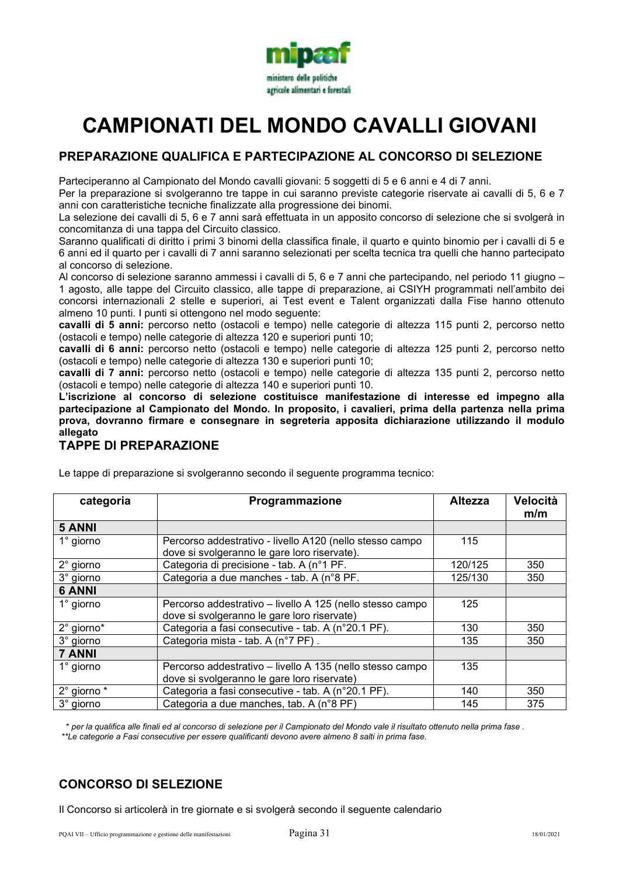

# **CAMPIONATI DEL MONDO CAVALLI GIOVANI**

# **PREPARAZIONE QUALIFICA E PARTECIPAZIONE AL CONCORSO DI SELEZIONE**

Parteciperanno al Campionato del Mondo cavalli giovani: 5 soggetti di 5 e 6 anni e 4 di 7 anni.

Per la preparazione si svolgeranno tre tappe in cui saranno previste categorie riservate ai cavalli di 5, 6 e 7 anni con caratteristiche tecniche finalizzate alla progressione dei binomi.

La selezione dei cavalli di 5, 6 e 7 anni sarà effettuata in un apposito concorso di selezione che si svolgerà in concomitanza di una tappa del Circuito classico.

Saranno qualificati di diritto i primi 3 binomi della classifica finale, il quarto e quinto binomio per i cavalli di 5 e 6 anni ed il quarto per i cavalli di 7 anni saranno selezionati per scelta tecnica tra quelli che hanno partecipato al concorso di selezione.

Al concorso di selezione saranno ammessi i cavalli di 5, 6 e 7 anni che partecipando, nel periodo 11 giugno – 1 agosto, alle tappe del Circuito classico, alle tappe di preparazione, ai CSIYH programmati nell'ambito dei concorsi internazionali 2 stelle e superiori, ai Test event e Talent organizzati dalla Fise hanno ottenuto almeno 10 punti. I punti si ottengono nel modo seguente:

**cavalli di 5 anni:** percorso netto (ostacoli e tempo) nelle categorie di altezza 115 punti 2, percorso netto (ostacoli e tempo) nelle categorie di altezza 120 e superiori punti 10;

**cavalli di 6 anni:** percorso netto (ostacoli e tempo) nelle categorie di altezza 125 punti 2, percorso netto (ostacoli e tempo) nelle categorie di altezza 130 e superiori punti 10;

**cavalli di 7 anni:** percorso netto (ostacoli e tempo) nelle categorie di altezza 135 punti 2, percorso netto (ostacoli e tempo) nelle categorie di altezza 140 e superiori punti 10.

**L'iscrizione al concorso di selezione costituisce manifestazione di interesse ed impegno alla partecipazione al Campionato del Mondo. In proposito, i cavalieri, prima della partenza nella prima prova, dovranno firmare e consegnare in segreteria apposita dichiarazione utilizzando il modulo allegato** 

# **TAPPE DI PREPARAZIONE**

Le tappe di preparazione si svolgeranno secondo il seguente programma tecnico:

| categoria          | Programmazione                                            | <b>Altezza</b> | Velocità<br>m/m |
|--------------------|-----------------------------------------------------------|----------------|-----------------|
| 5 ANNI             |                                                           |                |                 |
| $1^\circ$ giorno   | Percorso addestrativo - livello A120 (nello stesso campo  | 115            |                 |
|                    | dove si svolgeranno le gare loro riservate).              |                |                 |
| $2^{\circ}$ giorno | Categoria di precisione - tab. A (n°1 PF.                 | 120/125        | 350             |
| 3° giorno          | Categoria a due manches - tab. A (n°8 PF.                 | 125/130        | 350             |
| <b>6 ANNI</b>      |                                                           |                |                 |
| $1^\circ$ giorno   | Percorso addestrativo - livello A 125 (nello stesso campo | 125            |                 |
|                    | dove si svolgeranno le gare loro riservate)               |                |                 |
| 2° giorno*         | Categoria a fasi consecutive - tab. A (n°20.1 PF).        | 130            | 350             |
| 3° giorno          | Categoria mista - tab. A (n°7 PF).                        | 135            | 350             |
| <b>7 ANNI</b>      |                                                           |                |                 |
| $1^\circ$ giorno   | Percorso addestrativo - livello A 135 (nello stesso campo | 135            |                 |
|                    | dove si svolgeranno le gare loro riservate)               |                |                 |
| 2° giorno *        | Categoria a fasi consecutive - tab. A (n°20.1 PF).        | 140            | 350             |
| 3° giorno          | Categoria a due manches, tab. A (n°8 PF)                  | 145            | 375             |

 \* *per la qualifica alle finali ed al concorso di selezione per il Campionato del Mondo vale il risultato ottenuto nella prima fase . \*\*Le categorie a Fasi consecutive per essere qualificanti devono avere almeno 8 salti in prima fase.* 

# **CONCORSO DI SELEZIONE**

Il Concorso si articolerà in tre giornate e si svolgerà secondo il seguente calendario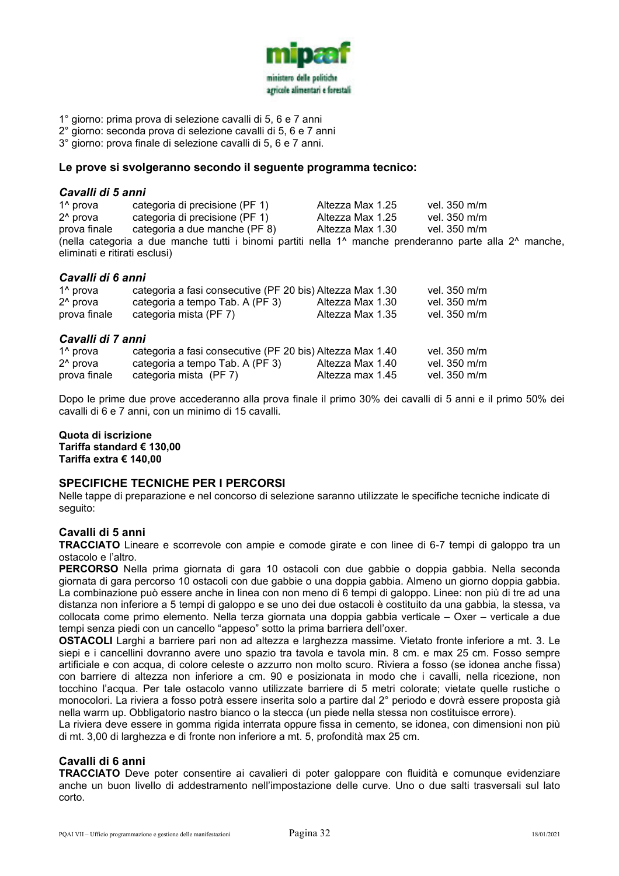

- 1° giorno: prima prova di selezione cavalli di 5, 6 e 7 anni
- 2° giorno: seconda prova di selezione cavalli di 5, 6 e 7 anni
- 3° giorno: prova finale di selezione cavalli di 5, 6 e 7 anni.

#### **Le prove si svolgeranno secondo il seguente programma tecnico:**

# *Cavalli di 5 anni*

categoria di precisione (PF 1) Altezza Max 1.25 vel. 350 m/m 2<sup>^</sup> prova categoria di precisione (PF 1) Altezza Max 1.25 vel. 350 m/m<br>prova finale categoria a due manche (PF 8) Altezza Max 1.30 vel. 350 m/m categoria a due manche (PF 8) (nella categoria a due manche tutti i binomi partiti nella 1^ manche prenderanno parte alla 2^ manche, eliminati e ritirati esclusi)

#### *Cavalli di 6 anni*

| 1 <sup>^</sup> prova                 | categoria a fasi consecutive (PF 20 bis) Altezza Max 1.30 |                  | vel. 350 m/m |
|--------------------------------------|-----------------------------------------------------------|------------------|--------------|
| 2 <sup>^</sup> prova                 | categoria a tempo Tab. A (PF 3)                           | Altezza Max 1.30 | vel. 350 m/m |
| prova finale                         | categoria mista (PF 7)                                    | Altezza Max 1.35 | vel. 350 m/m |
| Cavalli di 7 anni                    |                                                           |                  |              |
|                                      |                                                           |                  |              |
| 1 <sup>^</sup> prova                 | categoria a fasi consecutive (PF 20 bis) Altezza Max 1.40 |                  | vel. 350 m/m |
| 2 <sup>^</sup> prova<br>prova finale | categoria a tempo Tab. A (PF 3)<br>categoria mista (PF 7) | Altezza Max 1.40 | vel. 350 m/m |

Dopo le prime due prove accederanno alla prova finale il primo 30% dei cavalli di 5 anni e il primo 50% dei cavalli di 6 e 7 anni, con un minimo di 15 cavalli.

#### **Quota di iscrizione Tariffa standard € 130,00 Tariffa extra € 140,00**

#### **SPECIFICHE TECNICHE PER I PERCORSI**

Nelle tappe di preparazione e nel concorso di selezione saranno utilizzate le specifiche tecniche indicate di seguito:

#### **Cavalli di 5 anni**

**TRACCIATO** Lineare e scorrevole con ampie e comode girate e con linee di 6-7 tempi di galoppo tra un ostacolo e l'altro.

**PERCORSO** Nella prima giornata di gara 10 ostacoli con due gabbie o doppia gabbia. Nella seconda giornata di gara percorso 10 ostacoli con due gabbie o una doppia gabbia. Almeno un giorno doppia gabbia. La combinazione può essere anche in linea con non meno di 6 tempi di galoppo. Linee: non più di tre ad una distanza non inferiore a 5 tempi di galoppo e se uno dei due ostacoli è costituito da una gabbia, la stessa, va collocata come primo elemento. Nella terza giornata una doppia gabbia verticale – Oxer – verticale a due tempi senza piedi con un cancello "appeso" sotto la prima barriera dell'oxer.

**OSTACOLI** Larghi a barriere pari non ad altezza e larghezza massime. Vietato fronte inferiore a mt. 3. Le siepi e i cancellini dovranno avere uno spazio tra tavola e tavola min. 8 cm. e max 25 cm. Fosso sempre artificiale e con acqua, di colore celeste o azzurro non molto scuro. Riviera a fosso (se idonea anche fissa) con barriere di altezza non inferiore a cm. 90 e posizionata in modo che i cavalli, nella ricezione, non tocchino l'acqua. Per tale ostacolo vanno utilizzate barriere di 5 metri colorate; vietate quelle rustiche o monocolori. La riviera a fosso potrà essere inserita solo a partire dal 2° periodo e dovrà essere proposta già nella warm up. Obbligatorio nastro bianco o la stecca (un piede nella stessa non costituisce errore).

La riviera deve essere in gomma rigida interrata oppure fissa in cemento, se idonea, con dimensioni non più di mt. 3,00 di larghezza e di fronte non inferiore a mt. 5, profondità max 25 cm.

#### **Cavalli di 6 anni**

**TRACCIATO** Deve poter consentire ai cavalieri di poter galoppare con fluidità e comunque evidenziare anche un buon livello di addestramento nell'impostazione delle curve. Uno o due salti trasversali sul lato corto.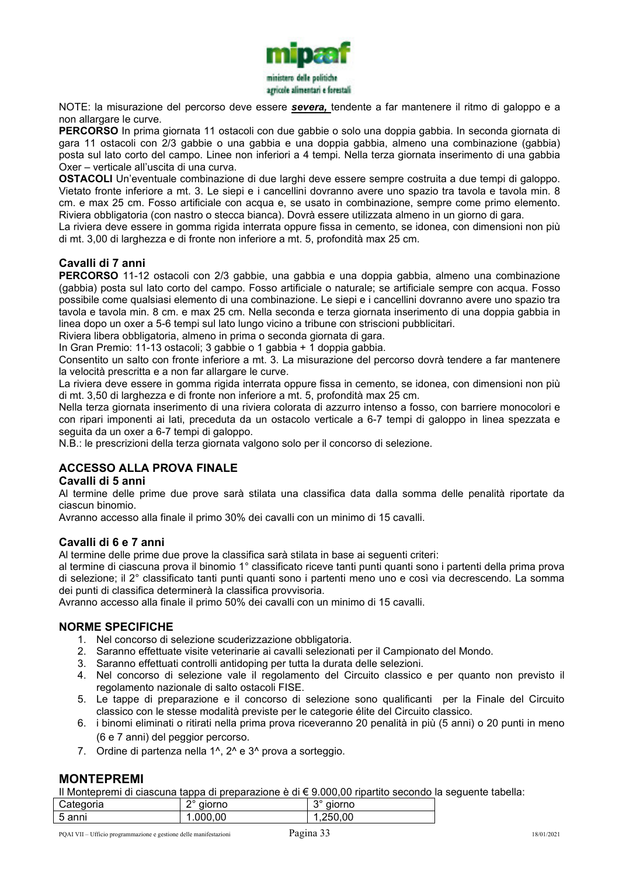

NOTE: la misurazione del percorso deve essere *severa,* tendente a far mantenere il ritmo di galoppo e a non allargare le curve.

**PERCORSO** In prima giornata 11 ostacoli con due gabbie o solo una doppia gabbia. In seconda giornata di gara 11 ostacoli con 2/3 gabbie o una gabbia e una doppia gabbia, almeno una combinazione (gabbia) posta sul lato corto del campo. Linee non inferiori a 4 tempi. Nella terza giornata inserimento di una gabbia Oxer – verticale all'uscita di una curva.

**OSTACOLI** Un'eventuale combinazione di due larghi deve essere sempre costruita a due tempi di galoppo. Vietato fronte inferiore a mt. 3. Le siepi e i cancellini dovranno avere uno spazio tra tavola e tavola min. 8 cm. e max 25 cm. Fosso artificiale con acqua e, se usato in combinazione, sempre come primo elemento. Riviera obbligatoria (con nastro o stecca bianca). Dovrà essere utilizzata almeno in un giorno di gara.

La riviera deve essere in gomma rigida interrata oppure fissa in cemento, se idonea, con dimensioni non più di mt. 3,00 di larghezza e di fronte non inferiore a mt. 5, profondità max 25 cm.

### **Cavalli di 7 anni**

**PERCORSO** 11-12 ostacoli con 2/3 gabbie, una gabbia e una doppia gabbia, almeno una combinazione (gabbia) posta sul lato corto del campo. Fosso artificiale o naturale; se artificiale sempre con acqua. Fosso possibile come qualsiasi elemento di una combinazione. Le siepi e i cancellini dovranno avere uno spazio tra tavola e tavola min. 8 cm. e max 25 cm. Nella seconda e terza giornata inserimento di una doppia gabbia in linea dopo un oxer a 5-6 tempi sul lato lungo vicino a tribune con striscioni pubblicitari.

Riviera libera obbligatoria, almeno in prima o seconda giornata di gara.

In Gran Premio: 11-13 ostacoli; 3 gabbie o 1 gabbia + 1 doppia gabbia.

Consentito un salto con fronte inferiore a mt. 3. La misurazione del percorso dovrà tendere a far mantenere la velocità prescritta e a non far allargare le curve.

La riviera deve essere in gomma rigida interrata oppure fissa in cemento, se idonea, con dimensioni non più di mt. 3,50 di larghezza e di fronte non inferiore a mt. 5, profondità max 25 cm.

Nella terza giornata inserimento di una riviera colorata di azzurro intenso a fosso, con barriere monocolori e con ripari imponenti ai lati, preceduta da un ostacolo verticale a 6-7 tempi di galoppo in linea spezzata e seguita da un oxer a 6-7 tempi di galoppo.

N.B.: le prescrizioni della terza giornata valgono solo per il concorso di selezione.

### **ACCESSO ALLA PROVA FINALE**

#### **Cavalli di 5 anni**

Al termine delle prime due prove sarà stilata una classifica data dalla somma delle penalità riportate da ciascun binomio.

Avranno accesso alla finale il primo 30% dei cavalli con un minimo di 15 cavalli.

#### **Cavalli di 6 e 7 anni**

Al termine delle prime due prove la classifica sarà stilata in base ai seguenti criteri:

al termine di ciascuna prova il binomio 1° classificato riceve tanti punti quanti sono i partenti della prima prova di selezione; il 2° classificato tanti punti quanti sono i partenti meno uno e così via decrescendo. La somma dei punti di classifica determinerà la classifica provvisoria.

Avranno accesso alla finale il primo 50% dei cavalli con un minimo di 15 cavalli.

#### **NORME SPECIFICHE**

- 1. Nel concorso di selezione scuderizzazione obbligatoria.
- 2. Saranno effettuate visite veterinarie ai cavalli selezionati per il Campionato del Mondo.
- 3. Saranno effettuati controlli antidoping per tutta la durata delle selezioni.
- 4. Nel concorso di selezione vale il regolamento del Circuito classico e per quanto non previsto il regolamento nazionale di salto ostacoli FISE.
- 5. Le tappe di preparazione e il concorso di selezione sono qualificanti per la Finale del Circuito classico con le stesse modalità previste per le categorie élite del Circuito classico.
- 6. i binomi eliminati o ritirati nella prima prova riceveranno 20 penalità in più (5 anni) o 20 punti in meno (6 e 7 anni) del peggior percorso.
- 7. Ordine di partenza nella 1<sup>1</sup>, 2<sup>1</sup> e 3<sup>1</sup> prova a sorteggio.

#### **MONTEPREMI**

Il Montepremi di ciascuna tappa di preparazione è di € 9.000,00 ripartito secondo la seguente tabella:

| Categoria | no<br>aiorno | $\sim$<br>iorno<br>ш<br>نۍ |
|-----------|--------------|----------------------------|
| 5 anni    | .000,00      | nn<br>. והי<br>.           |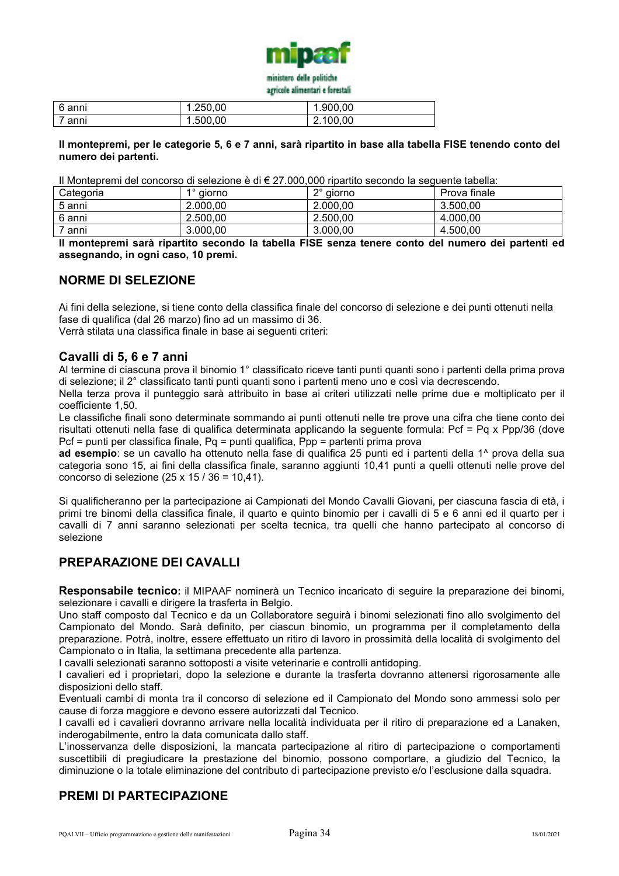

| 6 anni | 1.250,00 | .900,00  |
|--------|----------|----------|
| anni   | 1.500,00 | 2.100,00 |

#### **Il montepremi, per le categorie 5, 6 e 7 anni, sarà ripartito in base alla tabella FISE tenendo conto del numero dei partenti.**

Il Montepremi del concorso di selezione è di € 27.000,000 ripartito secondo la seguente tabella:

| Categoria | aiorno   | no<br>aiorno<br>ے | Prova finale |
|-----------|----------|-------------------|--------------|
| 5 anni    | 2.000,00 | 2.000,00          | 3.500.00     |
| 6 anni    | 2.500.00 | 2.500.00          | 4.000.00     |
| 7 anni    | 3.000,00 | 3.000.00          | 4.500.00     |

**Il montepremi sarà ripartito secondo la tabella FISE senza tenere conto del numero dei partenti ed assegnando, in ogni caso, 10 premi.** 

# **NORME DI SELEZIONE**

Ai fini della selezione, si tiene conto della classifica finale del concorso di selezione e dei punti ottenuti nella fase di qualifica (dal 26 marzo) fino ad un massimo di 36.

Verrà stilata una classifica finale in base ai seguenti criteri:

#### **Cavalli di 5, 6 e 7 anni**

Al termine di ciascuna prova il binomio 1° classificato riceve tanti punti quanti sono i partenti della prima prova di selezione; il 2° classificato tanti punti quanti sono i partenti meno uno e così via decrescendo.

Nella terza prova il punteggio sarà attribuito in base ai criteri utilizzati nelle prime due e moltiplicato per il coefficiente 1,50.

Le classifiche finali sono determinate sommando ai punti ottenuti nelle tre prove una cifra che tiene conto dei risultati ottenuti nella fase di qualifica determinata applicando la seguente formula: Pcf = Pq x Ppp/36 (dove Pcf = punti per classifica finale, Pq = punti qualifica, Ppp = partenti prima prova

**ad esempio**: se un cavallo ha ottenuto nella fase di qualifica 25 punti ed i partenti della 1^ prova della sua categoria sono 15, ai fini della classifica finale, saranno aggiunti 10,41 punti a quelli ottenuti nelle prove del concorso di selezione (25 x 15 / 36 = 10,41).

Si qualificheranno per la partecipazione ai Campionati del Mondo Cavalli Giovani, per ciascuna fascia di età, i primi tre binomi della classifica finale, il quarto e quinto binomio per i cavalli di 5 e 6 anni ed il quarto per i cavalli di 7 anni saranno selezionati per scelta tecnica, tra quelli che hanno partecipato al concorso di selezione

### **PREPARAZIONE DEI CAVALLI**

**Responsabile tecnico:** il MIPAAF nominerà un Tecnico incaricato di seguire la preparazione dei binomi, selezionare i cavalli e dirigere la trasferta in Belgio.

Uno staff composto dal Tecnico e da un Collaboratore seguirà i binomi selezionati fino allo svolgimento del Campionato del Mondo. Sarà definito, per ciascun binomio, un programma per il completamento della preparazione. Potrà, inoltre, essere effettuato un ritiro di lavoro in prossimità della località di svolgimento del Campionato o in Italia, la settimana precedente alla partenza.

I cavalli selezionati saranno sottoposti a visite veterinarie e controlli antidoping.

I cavalieri ed i proprietari, dopo la selezione e durante la trasferta dovranno attenersi rigorosamente alle disposizioni dello staff.

Eventuali cambi di monta tra il concorso di selezione ed il Campionato del Mondo sono ammessi solo per cause di forza maggiore e devono essere autorizzati dal Tecnico.

I cavalli ed i cavalieri dovranno arrivare nella località individuata per il ritiro di preparazione ed a Lanaken, inderogabilmente, entro la data comunicata dallo staff.

L'inosservanza delle disposizioni, la mancata partecipazione al ritiro di partecipazione o comportamenti suscettibili di pregiudicare la prestazione del binomio, possono comportare, a giudizio del Tecnico, la diminuzione o la totale eliminazione del contributo di partecipazione previsto e/o l'esclusione dalla squadra.

# **PREMI DI PARTECIPAZIONE**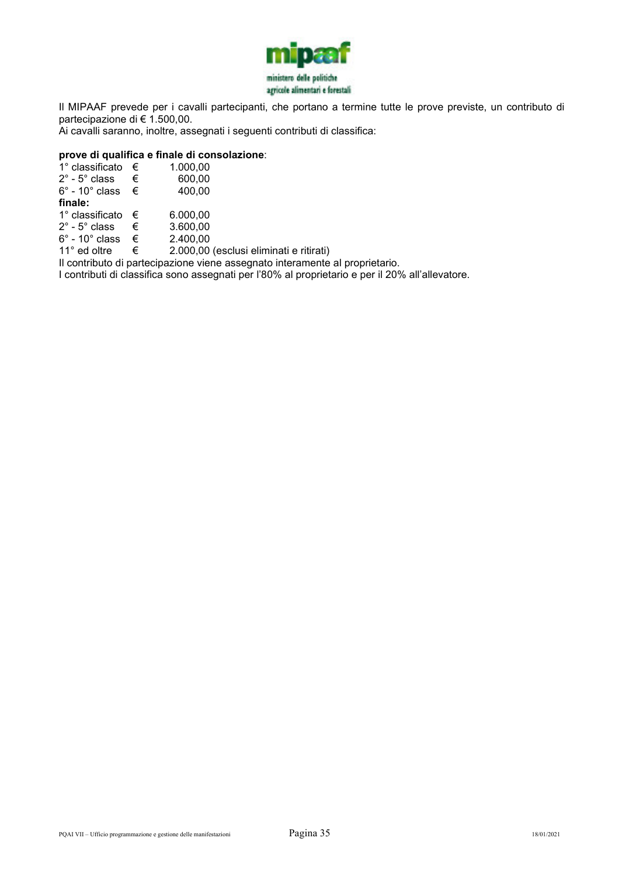

Il MIPAAF prevede per i cavalli partecipanti, che portano a termine tutte le prove previste, un contributo di partecipazione di € 1.500,00.

Ai cavalli saranno, inoltre, assegnati i seguenti contributi di classifica:

#### **prove di qualifica e finale di consolazione**:

| 1° classificato               | € | 1.000,00     |
|-------------------------------|---|--------------|
| $2^\circ$ - $5^\circ$ class   | € | 600,00       |
| $6^\circ$ - 10 $^\circ$ class | € | 400,00       |
| finale:                       |   |              |
| 1° classificato               | € | 6.000,00     |
| $2^\circ$ - $5^\circ$ class   | € | 3.600,00     |
| $6^\circ$ - 10 $^\circ$ class | € | 2.400,00     |
| 11° ed oltre                  | € | 2.000,00 (es |

sclusi eliminati e ritirati) Il contributo di partecipazione viene assegnato interamente al proprietario.

I contributi di classifica sono assegnati per l'80% al proprietario e per il 20% all'allevatore.